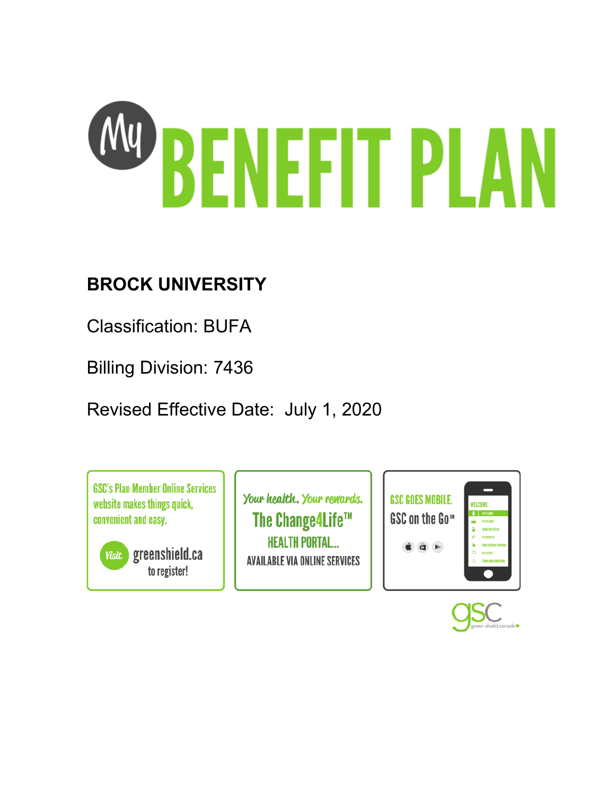

# **BROCK UNIVERSITY**

Classification: BUFA

Billing Division: 7436

Revised Effective Date: July 1, 2020

**GSC's Plan Member Online Services** website makes things quick. convenient and easy.

greenshield.ca **Visit** to register!

Your health. Your rewards. The Change4Life™ **HEALTH PORTAL... AVAILABLE VIA ONLINE SERVICES** 



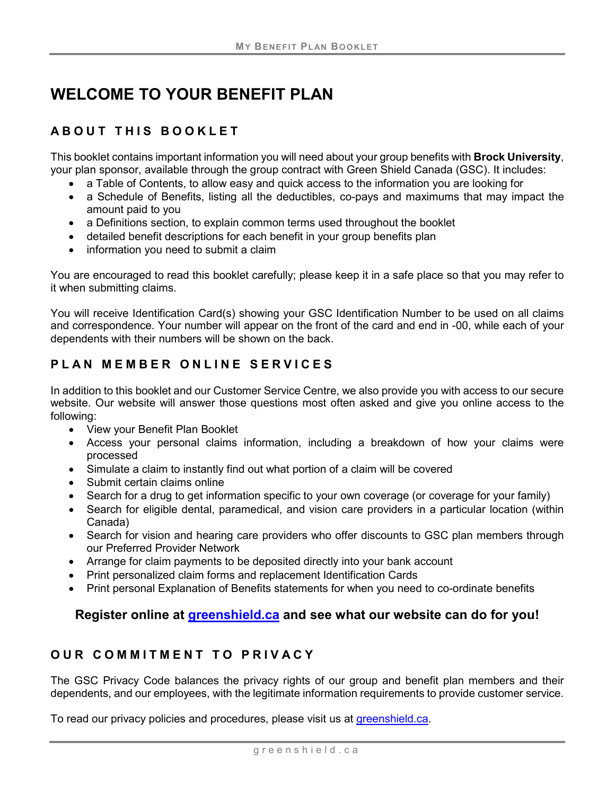# **WELCOME TO YOUR BENEFIT PLAN**

# **ABOUT THIS BOOKLET**

This booklet contains important information you will need about your group benefits with **Brock University**, your plan sponsor, available through the group contract with Green Shield Canada (GSC). It includes:

- a Table of Contents, to allow easy and quick access to the information you are looking for
- a Schedule of Benefits, listing all the deductibles, co-pays and maximums that may impact the amount paid to you
- a Definitions section, to explain common terms used throughout the booklet
- detailed benefit descriptions for each benefit in your group benefits plan
- information you need to submit a claim

You are encouraged to read this booklet carefully; please keep it in a safe place so that you may refer to it when submitting claims.

You will receive Identification Card(s) showing your GSC Identification Number to be used on all claims and correspondence. Your number will appear on the front of the card and end in -00, while each of your dependents with their numbers will be shown on the back.

# **PLAN MEMBER ONLINE SERVICES**

In addition to this booklet and our Customer Service Centre, we also provide you with access to our secure website. Our website will answer those questions most often asked and give you online access to the following:

- View your Benefit Plan Booklet
- Access your personal claims information, including a breakdown of how your claims were processed
- Simulate a claim to instantly find out what portion of a claim will be covered
- Submit certain claims online
- Search for a drug to get information specific to your own coverage (or coverage for your family)
- Search for eligible dental, paramedical, and vision care providers in a particular location (within Canada)
- Search for vision and hearing care providers who offer discounts to GSC plan members through our Preferred Provider Network
- Arrange for claim payments to be deposited directly into your bank account
- Print personalized claim forms and replacement Identification Cards
- Print personal Explanation of Benefits statements for when you need to co-ordinate benefits

# **Register online at [greenshield.ca](http://www.greenshield.ca/) and see what our website can do for you!**

### **OUR COMMITMENT TO PRIVACY**

The GSC Privacy Code balances the privacy rights of our group and benefit plan members and their dependents, and our employees, with the legitimate information requirements to provide customer service.

To read our privacy policies and procedures, please visit us at [greenshield.ca.](http://www.greenshield.ca/)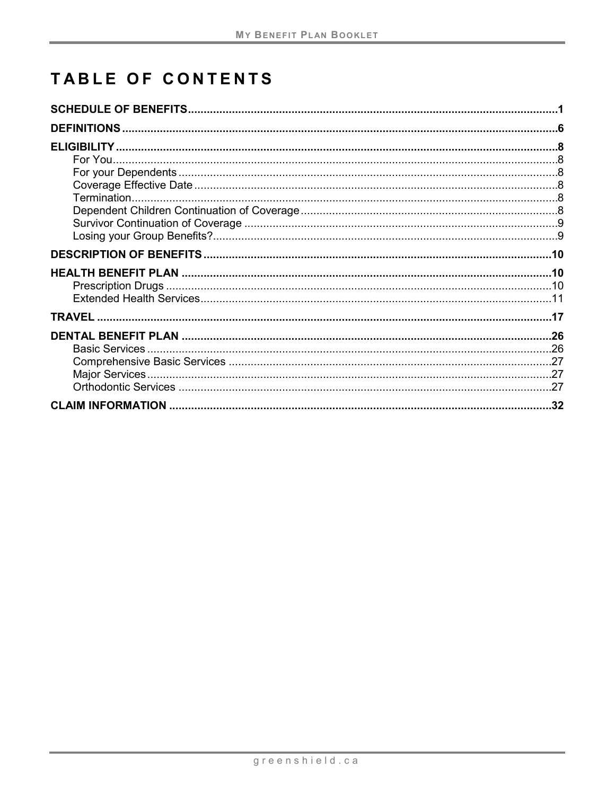# **TABLE OF CONTENTS**

| .32 |
|-----|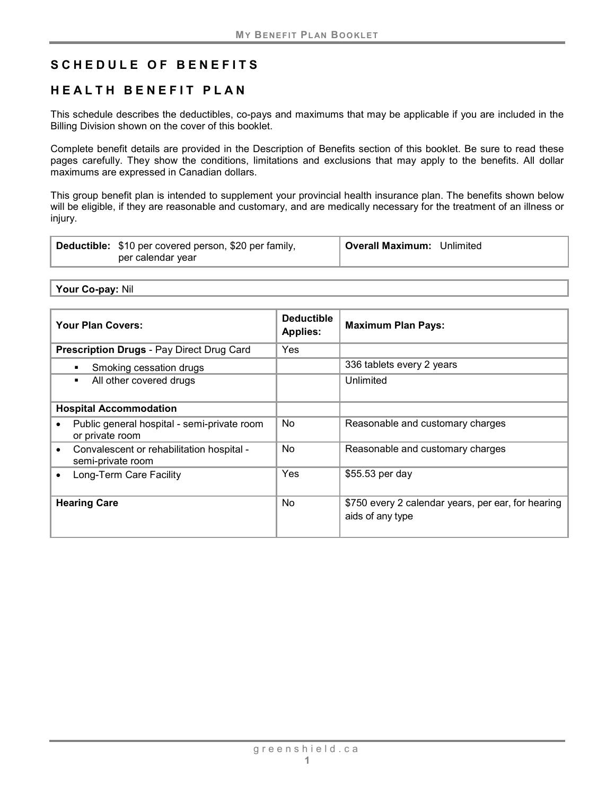# <span id="page-6-0"></span>**SCHEDULE OF BENEFITS**

# **HEALTH BENEFIT PLAN**

This schedule describes the deductibles, co-pays and maximums that may be applicable if you are included in the Billing Division shown on the cover of this booklet.

Complete benefit details are provided in the Description of Benefits section of this booklet. Be sure to read these pages carefully. They show the conditions, limitations and exclusions that may apply to the benefits. All dollar maximums are expressed in Canadian dollars.

This group benefit plan is intended to supplement your provincial health insurance plan. The benefits shown below will be eligible, if they are reasonable and customary, and are medically necessary for the treatment of an illness or injury.

| Overall Maximum: Unlimited<br>Deductible: \$10 per covered person, \$20 per family,<br>per calendar year |
|----------------------------------------------------------------------------------------------------------|
|----------------------------------------------------------------------------------------------------------|

**Your Co-pay:** Nil

| <b>Your Plan Covers:</b>                                       | <b>Deductible</b><br><b>Applies:</b> | <b>Maximum Plan Pays:</b>                                              |
|----------------------------------------------------------------|--------------------------------------|------------------------------------------------------------------------|
| <b>Prescription Drugs - Pay Direct Drug Card</b>               | Yes                                  |                                                                        |
| Smoking cessation drugs                                        |                                      | 336 tablets every 2 years                                              |
| All other covered drugs<br>٠                                   |                                      | Unlimited                                                              |
| <b>Hospital Accommodation</b>                                  |                                      |                                                                        |
| Public general hospital - semi-private room<br>or private room | No                                   | Reasonable and customary charges                                       |
| Convalescent or rehabilitation hospital -<br>semi-private room | No                                   | Reasonable and customary charges                                       |
| Long-Term Care Facility                                        | Yes                                  | \$55.53 per day                                                        |
| <b>Hearing Care</b>                                            | No                                   | \$750 every 2 calendar years, per ear, for hearing<br>aids of any type |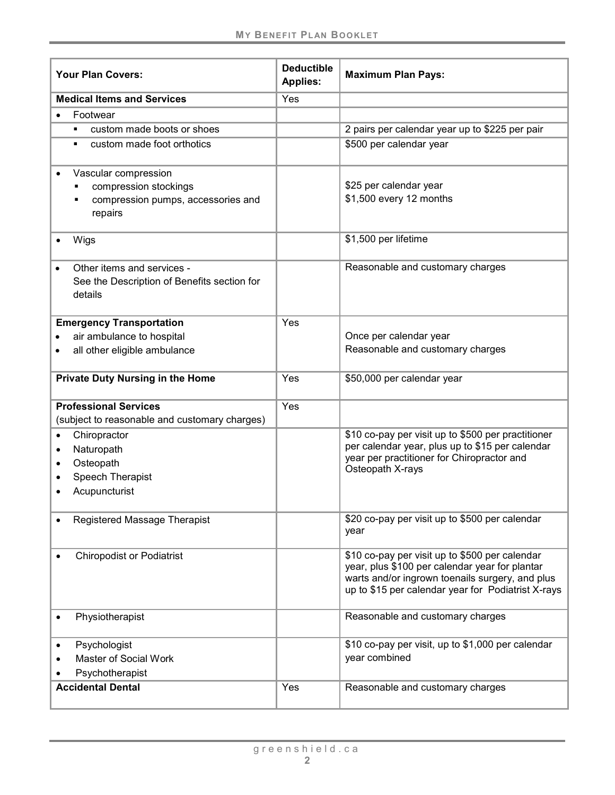| <b>Your Plan Covers:</b>                                                                            | <b>Deductible</b><br><b>Applies:</b> | <b>Maximum Plan Pays:</b>                                                                                                                                                                                 |
|-----------------------------------------------------------------------------------------------------|--------------------------------------|-----------------------------------------------------------------------------------------------------------------------------------------------------------------------------------------------------------|
| <b>Medical Items and Services</b>                                                                   | Yes                                  |                                                                                                                                                                                                           |
| Footwear                                                                                            |                                      |                                                                                                                                                                                                           |
| custom made boots or shoes                                                                          |                                      | 2 pairs per calendar year up to \$225 per pair                                                                                                                                                            |
| custom made foot orthotics<br>٠                                                                     |                                      | \$500 per calendar year                                                                                                                                                                                   |
| Vascular compression<br>compression stockings<br>compression pumps, accessories and<br>repairs      |                                      | \$25 per calendar year<br>\$1,500 every 12 months                                                                                                                                                         |
| Wigs                                                                                                |                                      | \$1,500 per lifetime                                                                                                                                                                                      |
| Other items and services -<br>See the Description of Benefits section for<br>details                |                                      | Reasonable and customary charges                                                                                                                                                                          |
| <b>Emergency Transportation</b><br>air ambulance to hospital<br>all other eligible ambulance        | Yes                                  | Once per calendar year<br>Reasonable and customary charges                                                                                                                                                |
| Private Duty Nursing in the Home                                                                    | Yes                                  | \$50,000 per calendar year                                                                                                                                                                                |
| <b>Professional Services</b><br>(subject to reasonable and customary charges)                       | Yes                                  |                                                                                                                                                                                                           |
| Chiropractor<br>$\bullet$<br>Naturopath<br>٠<br>Osteopath<br>٠<br>Speech Therapist<br>Acupuncturist |                                      | \$10 co-pay per visit up to \$500 per practitioner<br>per calendar year, plus up to \$15 per calendar<br>year per practitioner for Chiropractor and<br>Osteopath X-rays                                   |
| Registered Massage Therapist                                                                        |                                      | \$20 co-pay per visit up to \$500 per calendar<br>year                                                                                                                                                    |
| <b>Chiropodist or Podiatrist</b>                                                                    |                                      | \$10 co-pay per visit up to \$500 per calendar<br>year, plus \$100 per calendar year for plantar<br>warts and/or ingrown toenails surgery, and plus<br>up to \$15 per calendar year for Podiatrist X-rays |
| Physiotherapist                                                                                     |                                      | Reasonable and customary charges                                                                                                                                                                          |
| Psychologist<br>$\bullet$<br>Master of Social Work<br>Psychotherapist                               |                                      | \$10 co-pay per visit, up to \$1,000 per calendar<br>year combined                                                                                                                                        |
| <b>Accidental Dental</b>                                                                            | Yes                                  | Reasonable and customary charges                                                                                                                                                                          |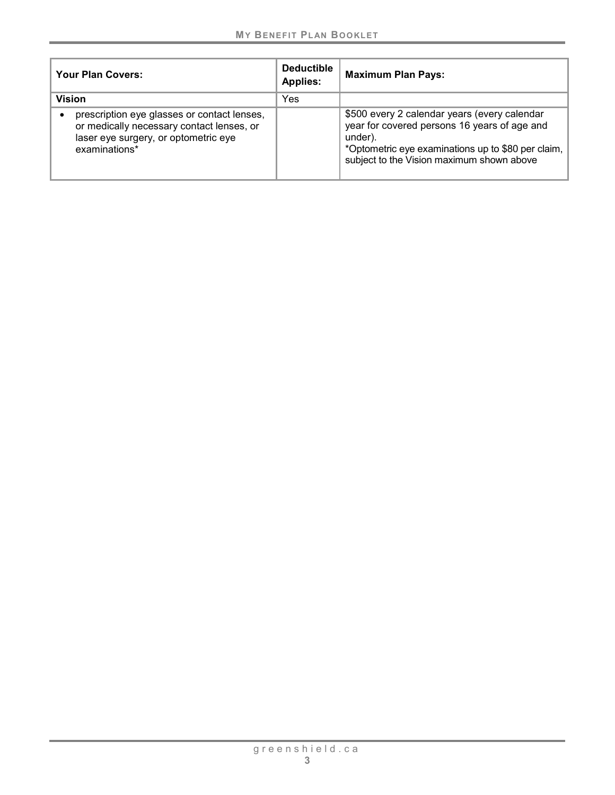| Your Plan Covers:                                                                                                                                 | <b>Deductible</b><br><b>Applies:</b> | <b>Maximum Plan Pays:</b>                                                                                                                                                                                  |
|---------------------------------------------------------------------------------------------------------------------------------------------------|--------------------------------------|------------------------------------------------------------------------------------------------------------------------------------------------------------------------------------------------------------|
| <b>Vision</b>                                                                                                                                     | Yes                                  |                                                                                                                                                                                                            |
| prescription eye glasses or contact lenses,<br>or medically necessary contact lenses, or<br>laser eye surgery, or optometric eye<br>examinations* |                                      | \$500 every 2 calendar years (every calendar<br>year for covered persons 16 years of age and<br>under).<br>*Optometric eye examinations up to \$80 per claim,<br>subject to the Vision maximum shown above |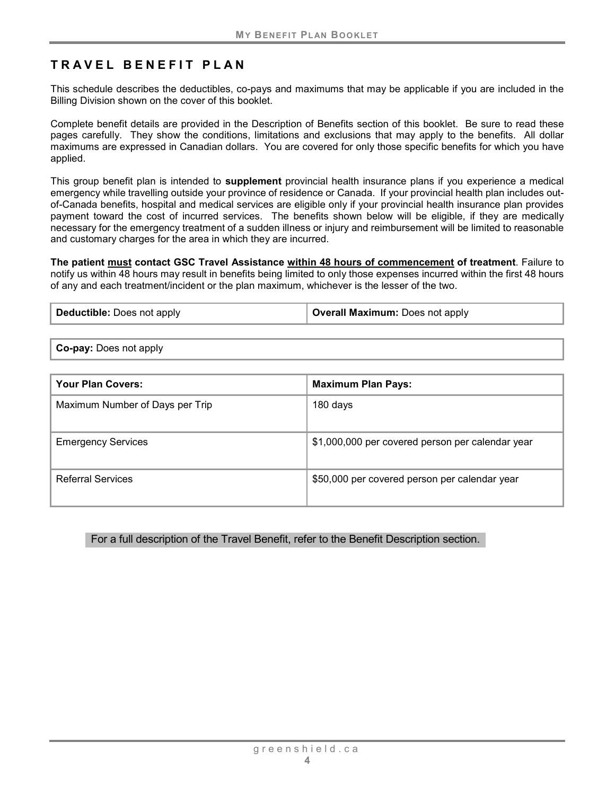# **TRAVEL BENEFIT PLAN**

This schedule describes the deductibles, co-pays and maximums that may be applicable if you are included in the Billing Division shown on the cover of this booklet.

Complete benefit details are provided in the Description of Benefits section of this booklet. Be sure to read these pages carefully. They show the conditions, limitations and exclusions that may apply to the benefits. All dollar maximums are expressed in Canadian dollars. You are covered for only those specific benefits for which you have applied.

This group benefit plan is intended to **supplement** provincial health insurance plans if you experience a medical emergency while travelling outside your province of residence or Canada. If your provincial health plan includes outof-Canada benefits, hospital and medical services are eligible only if your provincial health insurance plan provides payment toward the cost of incurred services. The benefits shown below will be eligible, if they are medically necessary for the emergency treatment of a sudden illness or injury and reimbursement will be limited to reasonable and customary charges for the area in which they are incurred.

**The patient must contact GSC Travel Assistance within 48 hours of commencement of treatment**. Failure to notify us within 48 hours may result in benefits being limited to only those expenses incurred within the first 48 hours of any and each treatment/incident or the plan maximum, whichever is the lesser of the two.

| Deductible: Does not apply | <b>Overall Maximum: Does not apply</b> |
|----------------------------|----------------------------------------|
|                            |                                        |

**Co-pay:** Does not apply

| <b>Your Plan Covers:</b>        | <b>Maximum Plan Pays:</b>                        |
|---------------------------------|--------------------------------------------------|
| Maximum Number of Days per Trip | 180 days                                         |
| <b>Emergency Services</b>       | \$1,000,000 per covered person per calendar year |
| <b>Referral Services</b>        | \$50,000 per covered person per calendar year    |

#### For a full description of the Travel Benefit, refer to the Benefit Description section.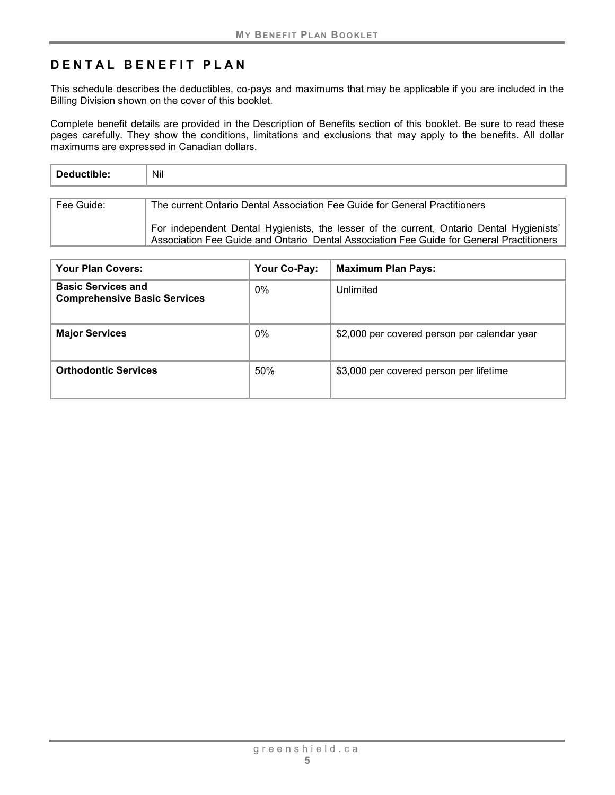# **DENTAL BENEFIT PLAN**

This schedule describes the deductibles, co-pays and maximums that may be applicable if you are included in the Billing Division shown on the cover of this booklet.

Complete benefit details are provided in the Description of Benefits section of this booklet. Be sure to read these pages carefully. They show the conditions, limitations and exclusions that may apply to the benefits. All dollar maximums are expressed in Canadian dollars.

| Deductible: | Nil                                                                                                                                                                                  |
|-------------|--------------------------------------------------------------------------------------------------------------------------------------------------------------------------------------|
|             |                                                                                                                                                                                      |
| Fee Guide:  | The current Ontario Dental Association Fee Guide for General Practitioners                                                                                                           |
|             | For independent Dental Hygienists, the lesser of the current, Ontario Dental Hygienists'<br>Association Fee Guide and Ontario Dental Association Fee Guide for General Practitioners |

| Your Plan Covers:                                                | Your Co-Pay: | <b>Maximum Plan Pays:</b>                    |
|------------------------------------------------------------------|--------------|----------------------------------------------|
| <b>Basic Services and</b><br><b>Comprehensive Basic Services</b> | $0\%$        | Unlimited                                    |
| <b>Major Services</b>                                            | $0\%$        | \$2,000 per covered person per calendar year |
| <b>Orthodontic Services</b>                                      | 50%          | \$3,000 per covered person per lifetime      |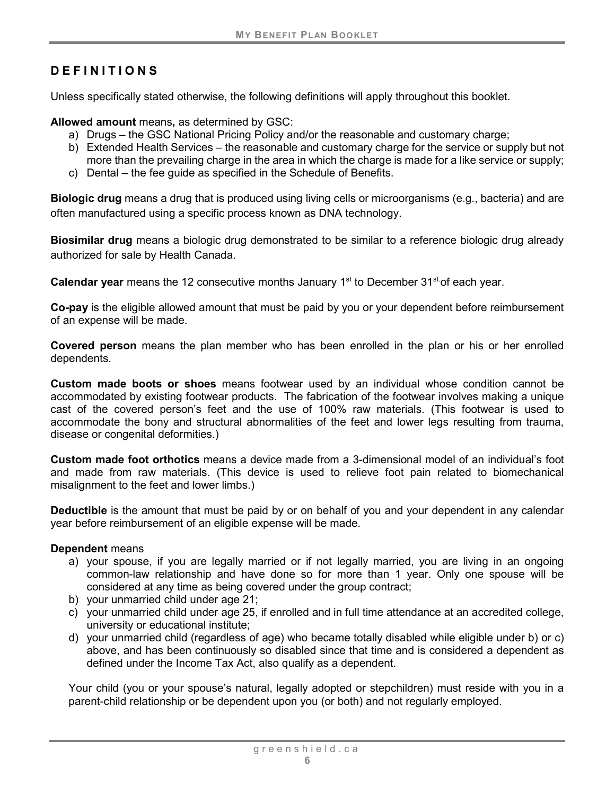# <span id="page-11-0"></span>**DEFINITIONS**

Unless specifically stated otherwise, the following definitions will apply throughout this booklet.

**Allowed amount** means**,** as determined by GSC:

- a) Drugs the GSC National Pricing Policy and/or the reasonable and customary charge;
- b) Extended Health Services the reasonable and customary charge for the service or supply but not more than the prevailing charge in the area in which the charge is made for a like service or supply;
- c) Dental the fee guide as specified in the Schedule of Benefits.

**Biologic drug** means a drug that is produced using living cells or microorganisms (e.g., bacteria) and are often manufactured using a specific process known as DNA technology.

**Biosimilar drug** means a biologic drug demonstrated to be similar to a reference biologic drug already authorized for sale by Health Canada.

**Calendar year** means the 12 consecutive months January 1<sup>st</sup> to December 31<sup>st</sup> of each year.

**Co-pay** is the eligible allowed amount that must be paid by you or your dependent before reimbursement of an expense will be made.

**Covered person** means the plan member who has been enrolled in the plan or his or her enrolled dependents.

**Custom made boots or shoes** means footwear used by an individual whose condition cannot be accommodated by existing footwear products. The fabrication of the footwear involves making a unique cast of the covered person's feet and the use of 100% raw materials. (This footwear is used to accommodate the bony and structural abnormalities of the feet and lower legs resulting from trauma, disease or congenital deformities.)

**Custom made foot orthotics** means a device made from a 3-dimensional model of an individual's foot and made from raw materials. (This device is used to relieve foot pain related to biomechanical misalignment to the feet and lower limbs.)

**Deductible** is the amount that must be paid by or on behalf of you and your dependent in any calendar year before reimbursement of an eligible expense will be made.

#### **Dependent** means

- a) your spouse, if you are legally married or if not legally married, you are living in an ongoing common-law relationship and have done so for more than 1 year. Only one spouse will be considered at any time as being covered under the group contract;
- b) your unmarried child under age 21;
- c) your unmarried child under age 25, if enrolled and in full time attendance at an accredited college, university or educational institute;
- d) your unmarried child (regardless of age) who became totally disabled while eligible under b) or c) above, and has been continuously so disabled since that time and is considered a dependent as defined under the Income Tax Act, also qualify as a dependent.

Your child (you or your spouse's natural, legally adopted or stepchildren) must reside with you in a parent-child relationship or be dependent upon you (or both) and not regularly employed.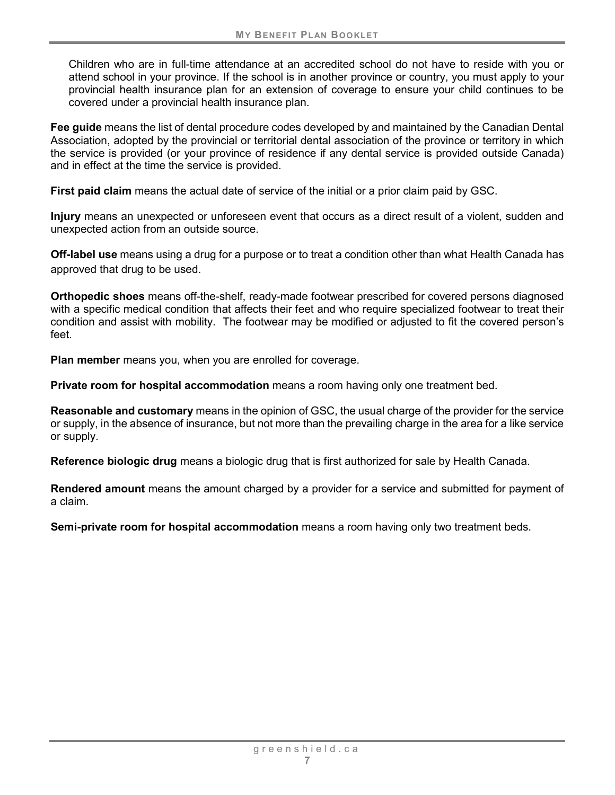Children who are in full-time attendance at an accredited school do not have to reside with you or attend school in your province. If the school is in another province or country, you must apply to your provincial health insurance plan for an extension of coverage to ensure your child continues to be covered under a provincial health insurance plan.

**Fee guide** means the list of dental procedure codes developed by and maintained by the Canadian Dental Association, adopted by the provincial or territorial dental association of the province or territory in which the service is provided (or your province of residence if any dental service is provided outside Canada) and in effect at the time the service is provided.

**First paid claim** means the actual date of service of the initial or a prior claim paid by GSC.

**Injury** means an unexpected or unforeseen event that occurs as a direct result of a violent, sudden and unexpected action from an outside source.

**Off-label use** means using a drug for a purpose or to treat a condition other than what Health Canada has approved that drug to be used.

**Orthopedic shoes** means off-the-shelf, ready-made footwear prescribed for covered persons diagnosed with a specific medical condition that affects their feet and who require specialized footwear to treat their condition and assist with mobility. The footwear may be modified or adjusted to fit the covered person's feet.

**Plan member** means you, when you are enrolled for coverage.

**Private room for hospital accommodation** means a room having only one treatment bed.

**Reasonable and customary** means in the opinion of GSC, the usual charge of the provider for the service or supply, in the absence of insurance, but not more than the prevailing charge in the area for a like service or supply.

**Reference biologic drug** means a biologic drug that is first authorized for sale by Health Canada.

**Rendered amount** means the amount charged by a provider for a service and submitted for payment of a claim.

**Semi-private room for hospital accommodation** means a room having only two treatment beds.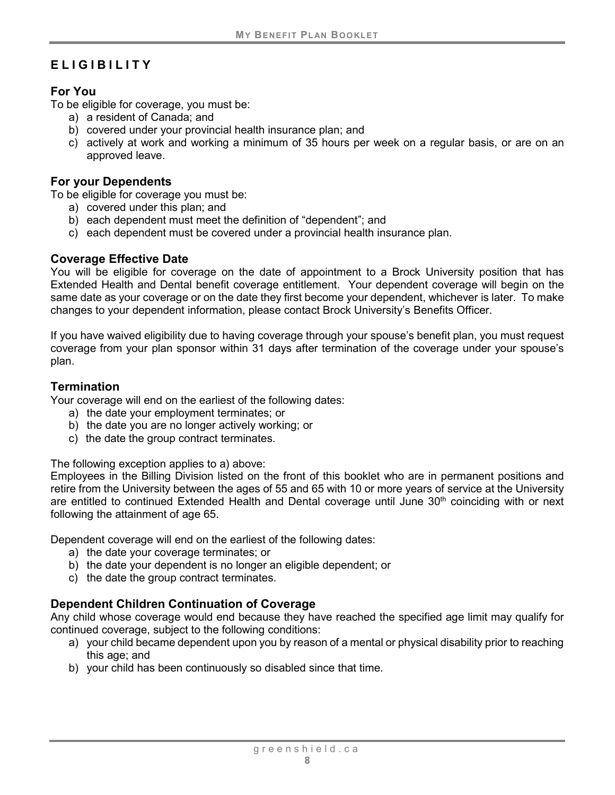# <span id="page-13-0"></span>**ELIGIBILITY**

## <span id="page-13-1"></span>**For You**

To be eligible for coverage, you must be:

- a) a resident of Canada; and
- b) covered under your provincial health insurance plan; and
- c) actively at work and working a minimum of 35 hours per week on a regular basis, or are on an approved leave.

#### <span id="page-13-2"></span>**For your Dependents**

To be eligible for coverage you must be:

- a) covered under this plan; and
- b) each dependent must meet the definition of "dependent"; and
- c) each dependent must be covered under a provincial health insurance plan.

### <span id="page-13-3"></span>**Coverage Effective Date**

You will be eligible for coverage on the date of appointment to a Brock University position that has Extended Health and Dental benefit coverage entitlement. Your dependent coverage will begin on the same date as your coverage or on the date they first become your dependent, whichever is later. To make changes to your dependent information, please contact Brock University's Benefits Officer.

If you have waived eligibility due to having coverage through your spouse's benefit plan, you must request coverage from your plan sponsor within 31 days after termination of the coverage under your spouse's plan.

#### <span id="page-13-4"></span>**Termination**

Your coverage will end on the earliest of the following dates:

- a) the date your employment terminates; or
- b) the date you are no longer actively working; or
- c) the date the group contract terminates.

The following exception applies to a) above:

Employees in the Billing Division listed on the front of this booklet who are in permanent positions and retire from the University between the ages of 55 and 65 with 10 or more years of service at the University are entitled to continued Extended Health and Dental coverage until June  $30<sup>th</sup>$  coinciding with or next following the attainment of age 65.

Dependent coverage will end on the earliest of the following dates:

- a) the date your coverage terminates; or
- b) the date your dependent is no longer an eligible dependent; or
- c) the date the group contract terminates.

# <span id="page-13-5"></span>**Dependent Children Continuation of Coverage**

Any child whose coverage would end because they have reached the specified age limit may qualify for continued coverage, subject to the following conditions:

- a) your child became dependent upon you by reason of a mental or physical disability prior to reaching this age; and
- b) your child has been continuously so disabled since that time.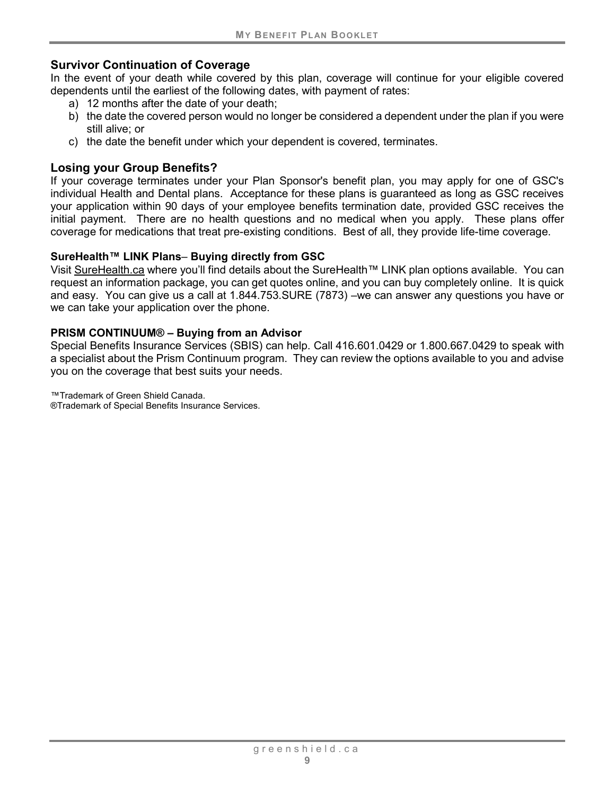#### <span id="page-14-0"></span>**Survivor Continuation of Coverage**

In the event of your death while covered by this plan, coverage will continue for your eligible covered dependents until the earliest of the following dates, with payment of rates:

- a) 12 months after the date of your death;
- b) the date the covered person would no longer be considered a dependent under the plan if you were still alive; or
- c) the date the benefit under which your dependent is covered, terminates.

### <span id="page-14-1"></span>**Losing your Group Benefits?**

If your coverage terminates under your Plan Sponsor's benefit plan, you may apply for one of GSC's individual Health and Dental plans. Acceptance for these plans is guaranteed as long as GSC receives your application within 90 days of your employee benefits termination date, provided GSC receives the initial payment. There are no health questions and no medical when you apply. These plans offer coverage for medications that treat pre-existing conditions. Best of all, they provide life-time coverage.

#### **SureHealth™ LINK Plans**– **Buying directly from GSC**

Visit [SureHealth.ca](http://surehealth.ca/) where you'll find details about the SureHealth™ LINK plan options available. You can request an information package, you can get quotes online, and you can buy completely online. It is quick and easy. You can give us a call at 1.844.753.SURE (7873) –we can answer any questions you have or we can take your application over the phone.

#### **PRISM CONTINUUM® – Buying from an Advisor**

Special Benefits Insurance Services (SBIS) can help. Call 416.601.0429 or 1.800.667.0429 to speak with a specialist about the Prism Continuum program. They can review the options available to you and advise you on the coverage that best suits your needs.

™Trademark of Green Shield Canada.

®Trademark of Special Benefits Insurance Services.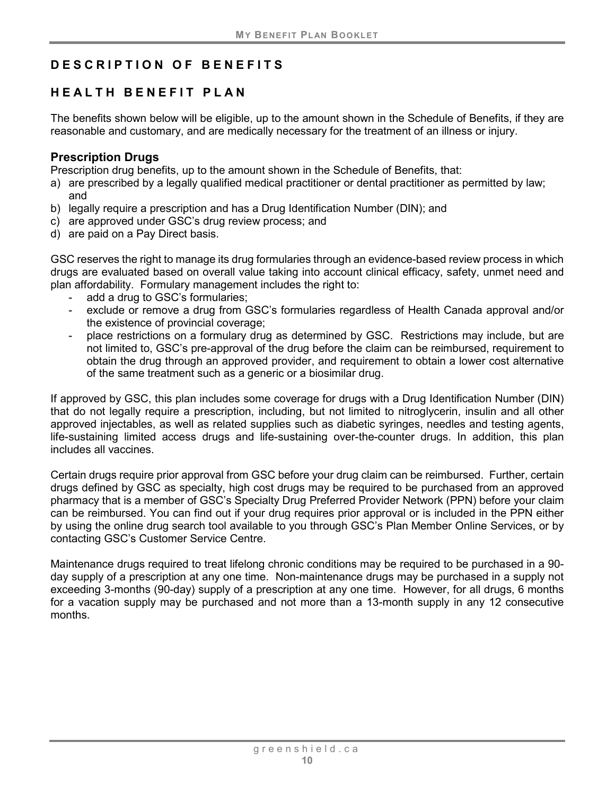# <span id="page-15-0"></span>**DESCRIPTION OF BENEFITS**

# <span id="page-15-1"></span>**HEALTH BENEFIT PLAN**

The benefits shown below will be eligible, up to the amount shown in the Schedule of Benefits, if they are reasonable and customary, and are medically necessary for the treatment of an illness or injury.

### <span id="page-15-2"></span>**Prescription Drugs**

Prescription drug benefits, up to the amount shown in the Schedule of Benefits, that:

- a) are prescribed by a legally qualified medical practitioner or dental practitioner as permitted by law; and
- b) legally require a prescription and has a Drug Identification Number (DIN); and
- c) are approved under GSC's drug review process; and
- d) are paid on a Pay Direct basis.

GSC reserves the right to manage its drug formularies through an evidence-based review process in which drugs are evaluated based on overall value taking into account clinical efficacy, safety, unmet need and plan affordability. Formulary management includes the right to:

- add a drug to GSC's formularies;
- exclude or remove a drug from GSC's formularies regardless of Health Canada approval and/or the existence of provincial coverage;
- place restrictions on a formulary drug as determined by GSC. Restrictions may include, but are not limited to, GSC's pre-approval of the drug before the claim can be reimbursed, requirement to obtain the drug through an approved provider, and requirement to obtain a lower cost alternative of the same treatment such as a generic or a biosimilar drug.

If approved by GSC, this plan includes some coverage for drugs with a Drug Identification Number (DIN) that do not legally require a prescription, including, but not limited to nitroglycerin, insulin and all other approved injectables, as well as related supplies such as diabetic syringes, needles and testing agents, life-sustaining limited access drugs and life-sustaining over-the-counter drugs. In addition, this plan includes all vaccines.

Certain drugs require prior approval from GSC before your drug claim can be reimbursed. Further, certain drugs defined by GSC as specialty, high cost drugs may be required to be purchased from an approved pharmacy that is a member of GSC's Specialty Drug Preferred Provider Network (PPN) before your claim can be reimbursed. You can find out if your drug requires prior approval or is included in the PPN either by using the online drug search tool available to you through GSC's Plan Member Online Services, or by contacting GSC's Customer Service Centre.

Maintenance drugs required to treat lifelong chronic conditions may be required to be purchased in a 90 day supply of a prescription at any one time. Non-maintenance drugs may be purchased in a supply not exceeding 3-months (90-day) supply of a prescription at any one time. However, for all drugs, 6 months for a vacation supply may be purchased and not more than a 13-month supply in any 12 consecutive months.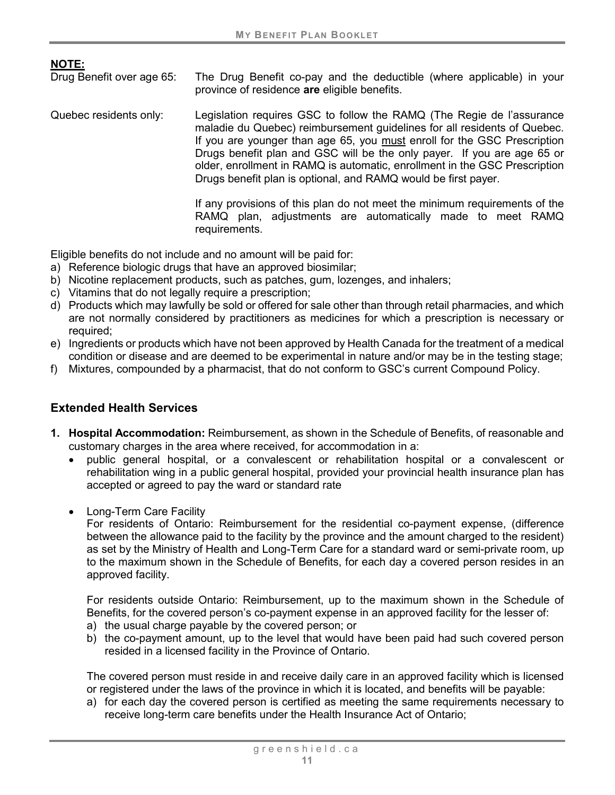**NOTE:**

The Drug Benefit co-pay and the deductible (where applicable) in your province of residence **are** eligible benefits.

Quebec residents only: Legislation requires GSC to follow the RAMQ (The Regie de l'assurance maladie du Quebec) reimbursement guidelines for all residents of Quebec. If you are younger than age 65, you must enroll for the GSC Prescription Drugs benefit plan and GSC will be the only payer. If you are age 65 or older, enrollment in RAMQ is automatic, enrollment in the GSC Prescription Drugs benefit plan is optional, and RAMQ would be first payer.

> If any provisions of this plan do not meet the minimum requirements of the RAMQ plan, adjustments are automatically made to meet RAMQ requirements.

Eligible benefits do not include and no amount will be paid for:

- a) Reference biologic drugs that have an approved biosimilar;
- b) Nicotine replacement products, such as patches, gum, lozenges, and inhalers;
- c) Vitamins that do not legally require a prescription;
- d) Products which may lawfully be sold or offered for sale other than through retail pharmacies, and which are not normally considered by practitioners as medicines for which a prescription is necessary or required;
- e) Ingredients or products which have not been approved by Health Canada for the treatment of a medical condition or disease and are deemed to be experimental in nature and/or may be in the testing stage;
- f) Mixtures, compounded by a pharmacist, that do not conform to GSC's current Compound Policy.

#### <span id="page-16-0"></span>**Extended Health Services**

- **1. Hospital Accommodation:** Reimbursement, as shown in the Schedule of Benefits, of reasonable and customary charges in the area where received, for accommodation in a:
	- public general hospital, or a convalescent or rehabilitation hospital or a convalescent or rehabilitation wing in a public general hospital, provided your provincial health insurance plan has accepted or agreed to pay the ward or standard rate
	- Long-Term Care Facility

For residents of Ontario: Reimbursement for the residential co-payment expense, (difference between the allowance paid to the facility by the province and the amount charged to the resident) as set by the Ministry of Health and Long-Term Care for a standard ward or semi-private room, up to the maximum shown in the Schedule of Benefits, for each day a covered person resides in an approved facility.

For residents outside Ontario: Reimbursement, up to the maximum shown in the Schedule of Benefits, for the covered person's co-payment expense in an approved facility for the lesser of:

- a) the usual charge payable by the covered person; or
- b) the co-payment amount, up to the level that would have been paid had such covered person resided in a licensed facility in the Province of Ontario.

The covered person must reside in and receive daily care in an approved facility which is licensed or registered under the laws of the province in which it is located, and benefits will be payable:

a) for each day the covered person is certified as meeting the same requirements necessary to receive long-term care benefits under the Health Insurance Act of Ontario;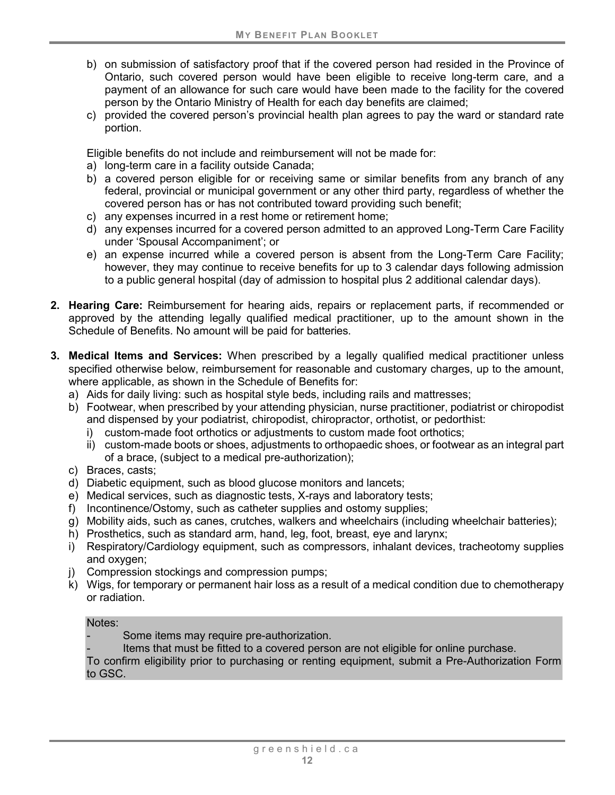- b) on submission of satisfactory proof that if the covered person had resided in the Province of Ontario, such covered person would have been eligible to receive long-term care, and a payment of an allowance for such care would have been made to the facility for the covered person by the Ontario Ministry of Health for each day benefits are claimed;
- c) provided the covered person's provincial health plan agrees to pay the ward or standard rate portion.

Eligible benefits do not include and reimbursement will not be made for:

- a) long-term care in a facility outside Canada;
- b) a covered person eligible for or receiving same or similar benefits from any branch of any federal, provincial or municipal government or any other third party, regardless of whether the covered person has or has not contributed toward providing such benefit;
- c) any expenses incurred in a rest home or retirement home;
- d) any expenses incurred for a covered person admitted to an approved Long-Term Care Facility under 'Spousal Accompaniment'; or
- e) an expense incurred while a covered person is absent from the Long-Term Care Facility; however, they may continue to receive benefits for up to 3 calendar days following admission to a public general hospital (day of admission to hospital plus 2 additional calendar days).
- **2. Hearing Care:** Reimbursement for hearing aids, repairs or replacement parts, if recommended or approved by the attending legally qualified medical practitioner, up to the amount shown in the Schedule of Benefits. No amount will be paid for batteries.
- **3. Medical Items and Services:** When prescribed by a legally qualified medical practitioner unless specified otherwise below, reimbursement for reasonable and customary charges, up to the amount, where applicable, as shown in the Schedule of Benefits for:
	- a) Aids for daily living: such as hospital style beds, including rails and mattresses;
	- b) Footwear, when prescribed by your attending physician, nurse practitioner, podiatrist or chiropodist and dispensed by your podiatrist, chiropodist, chiropractor, orthotist, or pedorthist:
		- i) custom-made foot orthotics or adjustments to custom made foot orthotics;
		- ii) custom-made boots or shoes, adjustments to orthopaedic shoes, or footwear as an integral part of a brace, (subject to a medical pre-authorization);
	- c) Braces, casts;
	- d) Diabetic equipment, such as blood glucose monitors and lancets;
	- e) Medical services, such as diagnostic tests, X-rays and laboratory tests;
	- f) Incontinence/Ostomy, such as catheter supplies and ostomy supplies;
	- g) Mobility aids, such as canes, crutches, walkers and wheelchairs (including wheelchair batteries);
	- h) Prosthetics, such as standard arm, hand, leg, foot, breast, eye and larynx;
	- i) Respiratory/Cardiology equipment, such as compressors, inhalant devices, tracheotomy supplies and oxygen;
	- j) Compression stockings and compression pumps;
	- k) Wigs, for temporary or permanent hair loss as a result of a medical condition due to chemotherapy or radiation.

#### Notes:

- Some items may require pre-authorization.
- Items that must be fitted to a covered person are not eligible for online purchase.

To confirm eligibility prior to purchasing or renting equipment, submit a Pre-Authorization Form to GSC.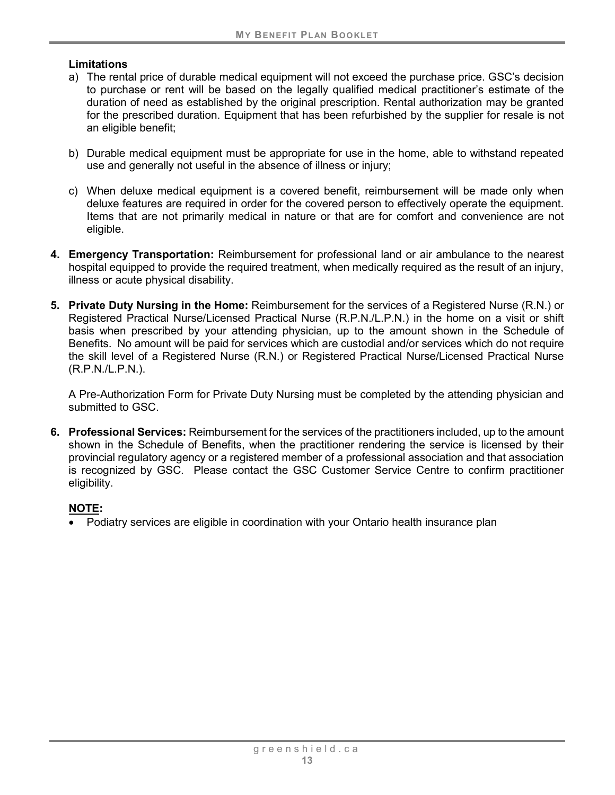#### **Limitations**

- a) The rental price of durable medical equipment will not exceed the purchase price. GSC's decision to purchase or rent will be based on the legally qualified medical practitioner's estimate of the duration of need as established by the original prescription. Rental authorization may be granted for the prescribed duration. Equipment that has been refurbished by the supplier for resale is not an eligible benefit;
- b) Durable medical equipment must be appropriate for use in the home, able to withstand repeated use and generally not useful in the absence of illness or injury;
- c) When deluxe medical equipment is a covered benefit, reimbursement will be made only when deluxe features are required in order for the covered person to effectively operate the equipment. Items that are not primarily medical in nature or that are for comfort and convenience are not eligible.
- **4. Emergency Transportation:** Reimbursement for professional land or air ambulance to the nearest hospital equipped to provide the required treatment, when medically required as the result of an injury, illness or acute physical disability.
- **5. Private Duty Nursing in the Home:** Reimbursement for the services of a Registered Nurse (R.N.) or Registered Practical Nurse/Licensed Practical Nurse (R.P.N./L.P.N.) in the home on a visit or shift basis when prescribed by your attending physician, up to the amount shown in the Schedule of Benefits. No amount will be paid for services which are custodial and/or services which do not require the skill level of a Registered Nurse (R.N.) or Registered Practical Nurse/Licensed Practical Nurse (R.P.N./L.P.N.).

A Pre-Authorization Form for Private Duty Nursing must be completed by the attending physician and submitted to GSC.

**6. Professional Services:** Reimbursement for the services of the practitioners included, up to the amount shown in the Schedule of Benefits, when the practitioner rendering the service is licensed by their provincial regulatory agency or a registered member of a professional association and that association is recognized by GSC. Please contact the GSC Customer Service Centre to confirm practitioner eligibility.

#### **NOTE:**

• Podiatry services are eligible in coordination with your Ontario health insurance plan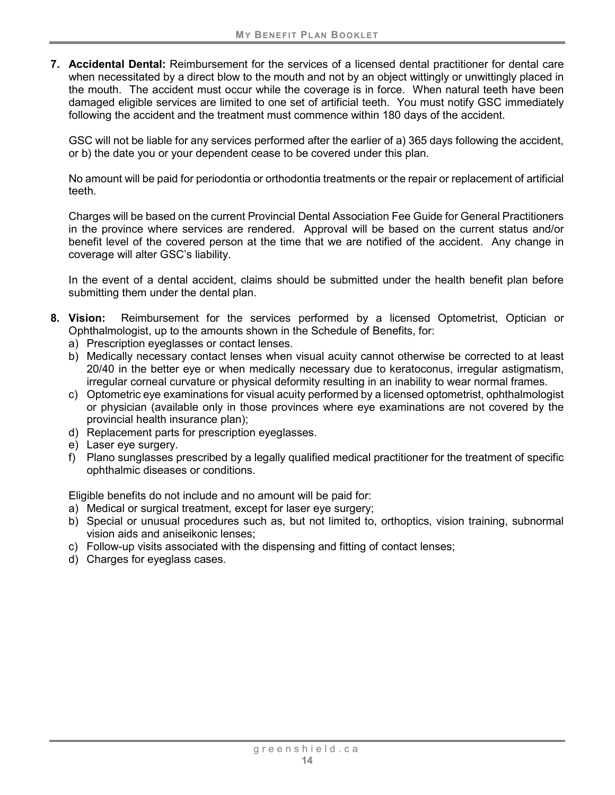**7. Accidental Dental:** Reimbursement for the services of a licensed dental practitioner for dental care when necessitated by a direct blow to the mouth and not by an object wittingly or unwittingly placed in the mouth. The accident must occur while the coverage is in force. When natural teeth have been damaged eligible services are limited to one set of artificial teeth. You must notify GSC immediately following the accident and the treatment must commence within 180 days of the accident.

GSC will not be liable for any services performed after the earlier of a) 365 days following the accident, or b) the date you or your dependent cease to be covered under this plan.

No amount will be paid for periodontia or orthodontia treatments or the repair or replacement of artificial teeth.

Charges will be based on the current Provincial Dental Association Fee Guide for General Practitioners in the province where services are rendered. Approval will be based on the current status and/or benefit level of the covered person at the time that we are notified of the accident. Any change in coverage will alter GSC's liability.

In the event of a dental accident, claims should be submitted under the health benefit plan before submitting them under the dental plan.

- **8. Vision:** Reimbursement for the services performed by a licensed Optometrist, Optician or Ophthalmologist, up to the amounts shown in the Schedule of Benefits, for:
	- a) Prescription eyeglasses or contact lenses.
	- b) Medically necessary contact lenses when visual acuity cannot otherwise be corrected to at least 20/40 in the better eye or when medically necessary due to keratoconus, irregular astigmatism, irregular corneal curvature or physical deformity resulting in an inability to wear normal frames.
	- c) Optometric eye examinations for visual acuity performed by a licensed optometrist, ophthalmologist or physician (available only in those provinces where eye examinations are not covered by the provincial health insurance plan);
	- d) Replacement parts for prescription eyeglasses.
	- e) Laser eye surgery.
	- f) Plano sunglasses prescribed by a legally qualified medical practitioner for the treatment of specific ophthalmic diseases or conditions.

Eligible benefits do not include and no amount will be paid for:

- a) Medical or surgical treatment, except for laser eye surgery;
- b) Special or unusual procedures such as, but not limited to, orthoptics, vision training, subnormal vision aids and aniseikonic lenses;
- c) Follow-up visits associated with the dispensing and fitting of contact lenses;
- d) Charges for eyeglass cases.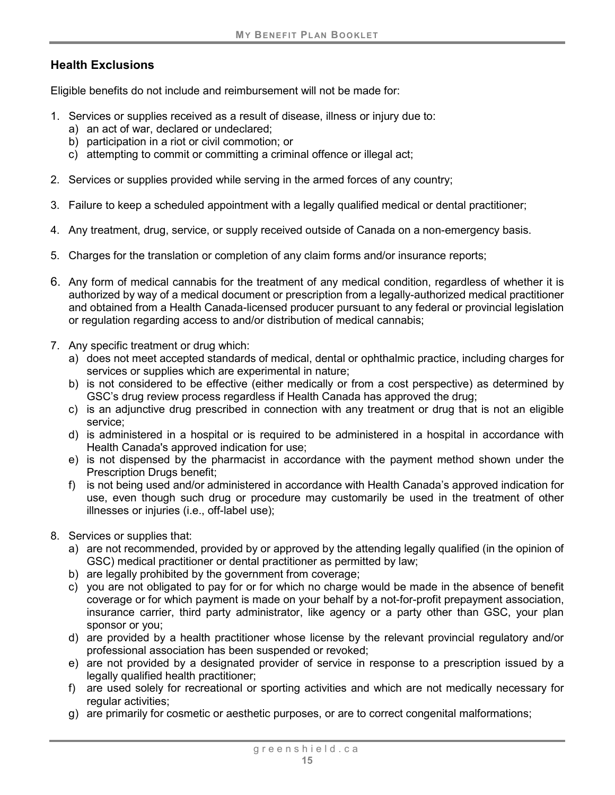## **Health Exclusions**

Eligible benefits do not include and reimbursement will not be made for:

- 1. Services or supplies received as a result of disease, illness or injury due to:
	- a) an act of war, declared or undeclared;
	- b) participation in a riot or civil commotion; or
	- c) attempting to commit or committing a criminal offence or illegal act;
- 2. Services or supplies provided while serving in the armed forces of any country;
- 3. Failure to keep a scheduled appointment with a legally qualified medical or dental practitioner;
- 4. Any treatment, drug, service, or supply received outside of Canada on a non-emergency basis.
- 5. Charges for the translation or completion of any claim forms and/or insurance reports;
- 6. Any form of medical cannabis for the treatment of any medical condition, regardless of whether it is authorized by way of a medical document or prescription from a legally-authorized medical practitioner and obtained from a Health Canada-licensed producer pursuant to any federal or provincial legislation or regulation regarding access to and/or distribution of medical cannabis;
- 7. Any specific treatment or drug which:
	- a) does not meet accepted standards of medical, dental or ophthalmic practice, including charges for services or supplies which are experimental in nature;
	- b) is not considered to be effective (either medically or from a cost perspective) as determined by GSC's drug review process regardless if Health Canada has approved the drug;
	- c) is an adjunctive drug prescribed in connection with any treatment or drug that is not an eligible service;
	- d) is administered in a hospital or is required to be administered in a hospital in accordance with Health Canada's approved indication for use;
	- e) is not dispensed by the pharmacist in accordance with the payment method shown under the Prescription Drugs benefit;
	- f) is not being used and/or administered in accordance with Health Canada's approved indication for use, even though such drug or procedure may customarily be used in the treatment of other illnesses or injuries (i.e., off-label use);
- 8. Services or supplies that:
	- a) are not recommended, provided by or approved by the attending legally qualified (in the opinion of GSC) medical practitioner or dental practitioner as permitted by law;
	- b) are legally prohibited by the government from coverage;
	- c) you are not obligated to pay for or for which no charge would be made in the absence of benefit coverage or for which payment is made on your behalf by a not-for-profit prepayment association, insurance carrier, third party administrator, like agency or a party other than GSC, your plan sponsor or you;
	- d) are provided by a health practitioner whose license by the relevant provincial regulatory and/or professional association has been suspended or revoked;
	- e) are not provided by a designated provider of service in response to a prescription issued by a legally qualified health practitioner;
	- f) are used solely for recreational or sporting activities and which are not medically necessary for regular activities;
	- g) are primarily for cosmetic or aesthetic purposes, or are to correct congenital malformations;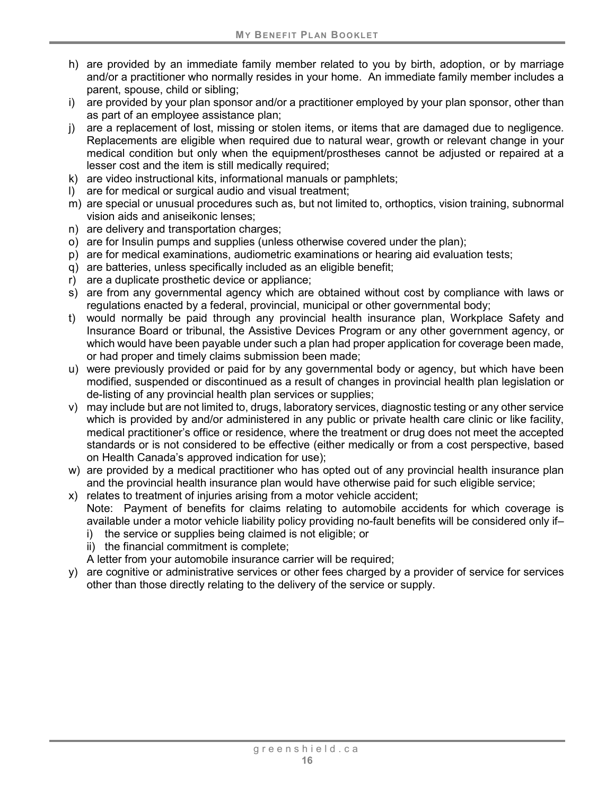- h) are provided by an immediate family member related to you by birth, adoption, or by marriage and/or a practitioner who normally resides in your home. An immediate family member includes a parent, spouse, child or sibling;
- i) are provided by your plan sponsor and/or a practitioner employed by your plan sponsor, other than as part of an employee assistance plan;
- j) are a replacement of lost, missing or stolen items, or items that are damaged due to negligence. Replacements are eligible when required due to natural wear, growth or relevant change in your medical condition but only when the equipment/prostheses cannot be adjusted or repaired at a lesser cost and the item is still medically required;
- k) are video instructional kits, informational manuals or pamphlets;
- l) are for medical or surgical audio and visual treatment;
- m) are special or unusual procedures such as, but not limited to, orthoptics, vision training, subnormal vision aids and aniseikonic lenses;
- n) are delivery and transportation charges;
- o) are for Insulin pumps and supplies (unless otherwise covered under the plan);
- p) are for medical examinations, audiometric examinations or hearing aid evaluation tests;
- q) are batteries, unless specifically included as an eligible benefit;
- r) are a duplicate prosthetic device or appliance;
- s) are from any governmental agency which are obtained without cost by compliance with laws or regulations enacted by a federal, provincial, municipal or other governmental body;
- t) would normally be paid through any provincial health insurance plan, Workplace Safety and Insurance Board or tribunal, the Assistive Devices Program or any other government agency, or which would have been payable under such a plan had proper application for coverage been made, or had proper and timely claims submission been made;
- u) were previously provided or paid for by any governmental body or agency, but which have been modified, suspended or discontinued as a result of changes in provincial health plan legislation or de-listing of any provincial health plan services or supplies;
- v) may include but are not limited to, drugs, laboratory services, diagnostic testing or any other service which is provided by and/or administered in any public or private health care clinic or like facility, medical practitioner's office or residence, where the treatment or drug does not meet the accepted standards or is not considered to be effective (either medically or from a cost perspective, based on Health Canada's approved indication for use);
- w) are provided by a medical practitioner who has opted out of any provincial health insurance plan and the provincial health insurance plan would have otherwise paid for such eligible service;
- x) relates to treatment of injuries arising from a motor vehicle accident; Note: Payment of benefits for claims relating to automobile accidents for which coverage is available under a motor vehicle liability policy providing no-fault benefits will be considered only if–
	- i) the service or supplies being claimed is not eligible; or
	- ii) the financial commitment is complete;
	- A letter from your automobile insurance carrier will be required;
- y) are cognitive or administrative services or other fees charged by a provider of service for services other than those directly relating to the delivery of the service or supply.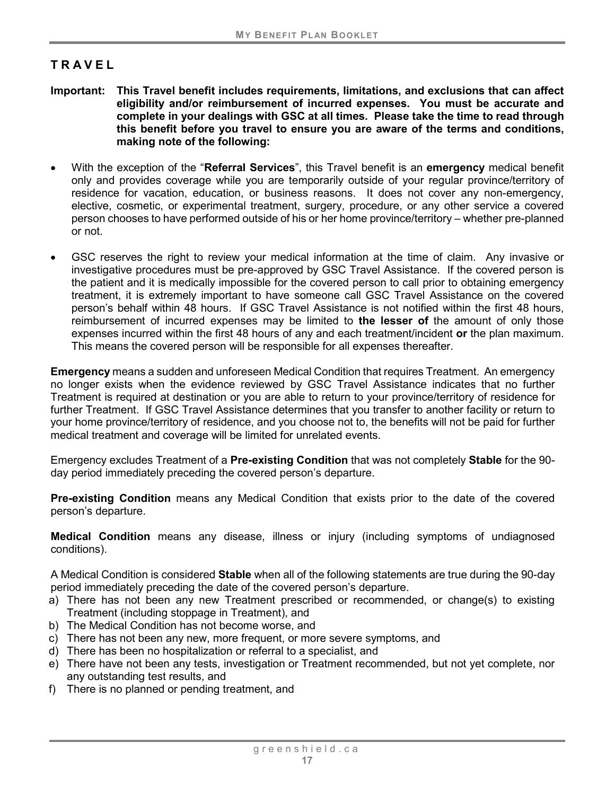# <span id="page-22-0"></span>**TRAVEL**

- **Important: This Travel benefit includes requirements, limitations, and exclusions that can affect eligibility and/or reimbursement of incurred expenses. You must be accurate and complete in your dealings with GSC at all times. Please take the time to read through this benefit before you travel to ensure you are aware of the terms and conditions, making note of the following:**
- With the exception of the "**Referral Services**", this Travel benefit is an **emergency** medical benefit only and provides coverage while you are temporarily outside of your regular province/territory of residence for vacation, education, or business reasons. It does not cover any non-emergency, elective, cosmetic, or experimental treatment, surgery, procedure, or any other service a covered person chooses to have performed outside of his or her home province/territory – whether pre-planned or not.
- GSC reserves the right to review your medical information at the time of claim. Any invasive or investigative procedures must be pre-approved by GSC Travel Assistance. If the covered person is the patient and it is medically impossible for the covered person to call prior to obtaining emergency treatment, it is extremely important to have someone call GSC Travel Assistance on the covered person's behalf within 48 hours. If GSC Travel Assistance is not notified within the first 48 hours, reimbursement of incurred expenses may be limited to **the lesser of** the amount of only those expenses incurred within the first 48 hours of any and each treatment/incident **or** the plan maximum. This means the covered person will be responsible for all expenses thereafter.

<span id="page-22-1"></span>**Emergency** means a sudden and unforeseen Medical Condition that requires Treatment. An emergency no longer exists when the evidence reviewed by GSC Travel Assistance indicates that no further Treatment is required at destination or you are able to return to your province/territory of residence for further Treatment. If GSC Travel Assistance determines that you transfer to another facility or return to your home province/territory of residence, and you choose not to, the benefits will not be paid for further medical treatment and coverage will be limited for unrelated events.

Emergency excludes Treatment of a **Pre-existing Condition** that was not completely **Stable** for the 90 day period immediately preceding the covered person's departure.

**Pre-existing Condition** means any Medical Condition that exists prior to the date of the covered person's departure.

**Medical Condition** means any disease, illness or injury (including symptoms of undiagnosed conditions).

<span id="page-22-2"></span>A Medical Condition is considered **Stable** when all of the following statements are true during the 90-day period immediately preceding the date of the covered person's departure.

- a) There has not been any new Treatment prescribed or recommended, or change(s) to existing Treatment (including stoppage in Treatment), and
- b) The Medical Condition has not become worse, and
- c) There has not been any new, more frequent, or more severe symptoms, and
- d) There has been no hospitalization or referral to a specialist, and
- e) There have not been any tests, investigation or Treatment recommended, but not yet complete, nor any outstanding test results, and
- f) There is no planned or pending treatment, and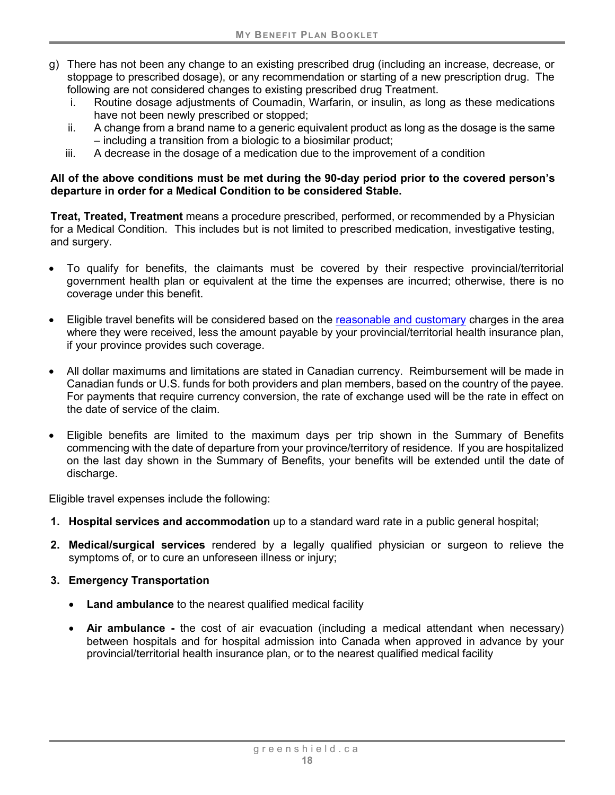- g) There has not been any change to an existing prescribed drug (including an increase, decrease, or stoppage to prescribed dosage), or any recommendation or starting of a new prescription drug. The following are not considered changes to existing prescribed drug Treatment.
	- i. Routine dosage adjustments of Coumadin, Warfarin, or insulin, as long as these medications have not been newly prescribed or stopped;
	- ii. A change from a brand name to a generic equivalent product as long as the dosage is the same – including a transition from a biologic to a biosimilar product;
	- iii. A decrease in the dosage of a medication due to the improvement of a condition

#### **All of the above conditions must be met during the 90-day period prior to the covered person's departure in order for a Medical Condition to be considered Stable.**

<span id="page-23-0"></span>**Treat, Treated, Treatment** means a procedure prescribed, performed, or recommended by a Physician for a Medical Condition. This includes but is not limited to prescribed medication, investigative testing, and surgery.

- To qualify for benefits, the claimants must be covered by their respective provincial/territorial government health plan or equivalent at the time the expenses are incurred; otherwise, there is no coverage under this benefit.
- Eligible travel benefits will be considered based on the reasonable and customary charges in the area where they were received, less the amount payable by your provincial/territorial health insurance plan, if your province provides such coverage.
- All dollar maximums and limitations are stated in Canadian currency. Reimbursement will be made in Canadian funds or U.S. funds for both providers and plan members, based on the country of the payee. For payments that require currency conversion, the rate of exchange used will be the rate in effect on the date of service of the claim.
- Eligible benefits are limited to the maximum days per trip shown in the Summary of Benefits commencing with the date of departure from your province/territory of residence. If you are hospitalized on the last day shown in the Summary of Benefits, your benefits will be extended until the date of discharge.

Eligible travel expenses include the following:

- **1. Hospital services and accommodation** up to a standard ward rate in a public general hospital;
- **2. Medical/surgical services** rendered by a legally qualified physician or surgeon to relieve the symptoms of, or to cure an unforeseen illness or injury;
- **3. Emergency Transportation**
	- **Land ambulance** to the nearest qualified medical facility
	- **Air ambulance -** the cost of air evacuation (including a medical attendant when necessary) between hospitals and for hospital admission into Canada when approved in advance by your provincial/territorial health insurance plan, or to the nearest qualified medical facility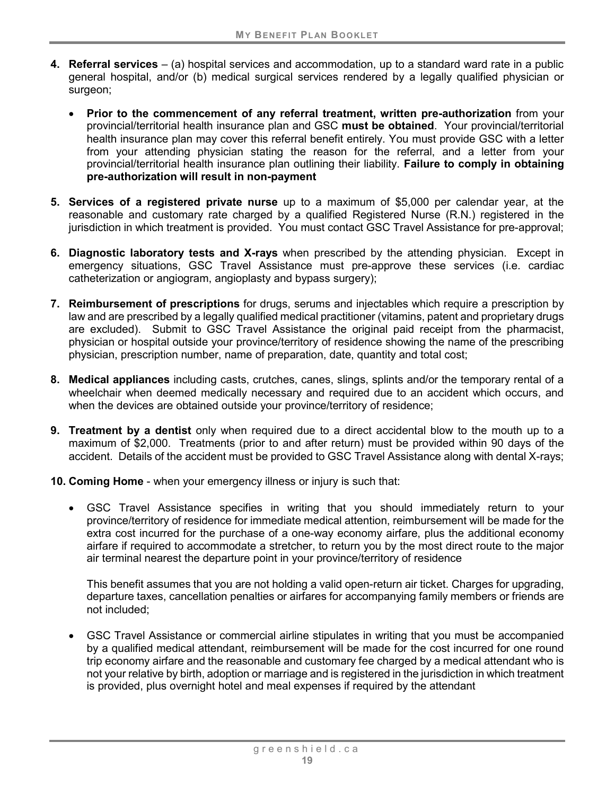- **4. Referral services** (a) hospital services and accommodation, up to a standard ward rate in a public general hospital, and/or (b) medical surgical services rendered by a legally qualified physician or surgeon:
	- **Prior to the commencement of any referral treatment, written pre-authorization** from your provincial/territorial health insurance plan and GSC **must be obtained**. Your provincial/territorial health insurance plan may cover this referral benefit entirely. You must provide GSC with a letter from your attending physician stating the reason for the referral, and a letter from your provincial/territorial health insurance plan outlining their liability. **Failure to comply in obtaining pre-authorization will result in non-payment**
- **5. Services of a registered private nurse** up to a maximum of \$5,000 per calendar year, at the reasonable and customary rate charged by a qualified Registered Nurse (R.N.) registered in the jurisdiction in which treatment is provided. You must contact GSC Travel Assistance for pre-approval;
- **6. Diagnostic laboratory tests and X-rays** when prescribed by the attending physician. Except in emergency situations, GSC Travel Assistance must pre-approve these services (i.e. cardiac catheterization or angiogram, angioplasty and bypass surgery);
- **7. Reimbursement of prescriptions** for drugs, serums and injectables which require a prescription by law and are prescribed by a legally qualified medical practitioner (vitamins, patent and proprietary drugs are excluded). Submit to GSC Travel Assistance the original paid receipt from the pharmacist, physician or hospital outside your province/territory of residence showing the name of the prescribing physician, prescription number, name of preparation, date, quantity and total cost;
- **8. Medical appliances** including casts, crutches, canes, slings, splints and/or the temporary rental of a wheelchair when deemed medically necessary and required due to an accident which occurs, and when the devices are obtained outside your province/territory of residence;
- **9. Treatment by a dentist** only when required due to a direct accidental blow to the mouth up to a maximum of \$2,000. Treatments (prior to and after return) must be provided within 90 days of the accident. Details of the accident must be provided to GSC Travel Assistance along with dental X-rays;
- **10. Coming Home** when your emergency illness or injury is such that:
	- GSC Travel Assistance specifies in writing that you should immediately return to your province/territory of residence for immediate medical attention, reimbursement will be made for the extra cost incurred for the purchase of a one-way economy airfare, plus the additional economy airfare if required to accommodate a stretcher, to return you by the most direct route to the major air terminal nearest the departure point in your province/territory of residence

This benefit assumes that you are not holding a valid open-return air ticket. Charges for upgrading, departure taxes, cancellation penalties or airfares for accompanying family members or friends are not included;

• GSC Travel Assistance or commercial airline stipulates in writing that you must be accompanied by a qualified medical attendant, reimbursement will be made for the cost incurred for one round trip economy airfare and the reasonable and customary fee charged by a medical attendant who is not your relative by birth, adoption or marriage and is registered in the jurisdiction in which treatment is provided, plus overnight hotel and meal expenses if required by the attendant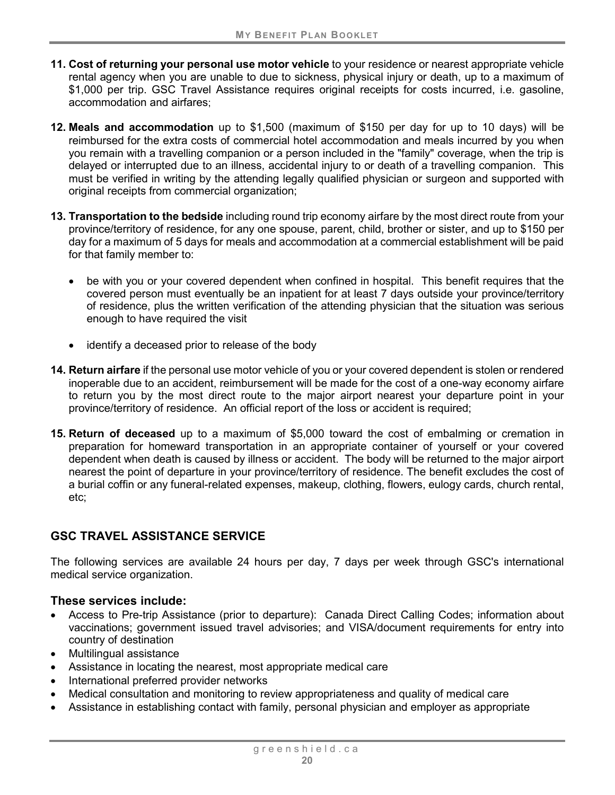- **11. Cost of returning your personal use motor vehicle** to your residence or nearest appropriate vehicle rental agency when you are unable to due to sickness, physical injury or death, up to a maximum of \$1,000 per trip. GSC Travel Assistance requires original receipts for costs incurred, i.e. gasoline, accommodation and airfares;
- **12. Meals and accommodation** up to \$1,500 (maximum of \$150 per day for up to 10 days) will be reimbursed for the extra costs of commercial hotel accommodation and meals incurred by you when you remain with a travelling companion or a person included in the "family" coverage, when the trip is delayed or interrupted due to an illness, accidental injury to or death of a travelling companion. This must be verified in writing by the attending legally qualified physician or surgeon and supported with original receipts from commercial organization;
- **13. Transportation to the bedside** including round trip economy airfare by the most direct route from your province/territory of residence, for any one spouse, parent, child, brother or sister, and up to \$150 per day for a maximum of 5 days for meals and accommodation at a commercial establishment will be paid for that family member to:
	- be with you or your covered dependent when confined in hospital. This benefit requires that the covered person must eventually be an inpatient for at least 7 days outside your province/territory of residence, plus the written verification of the attending physician that the situation was serious enough to have required the visit
	- identify a deceased prior to release of the body
- **14. Return airfare** if the personal use motor vehicle of you or your covered dependent is stolen or rendered inoperable due to an accident, reimbursement will be made for the cost of a one-way economy airfare to return you by the most direct route to the major airport nearest your departure point in your province/territory of residence. An official report of the loss or accident is required;
- **15. Return of deceased** up to a maximum of \$5,000 toward the cost of embalming or cremation in preparation for homeward transportation in an appropriate container of yourself or your covered dependent when death is caused by illness or accident. The body will be returned to the major airport nearest the point of departure in your province/territory of residence. The benefit excludes the cost of a burial coffin or any funeral-related expenses, makeup, clothing, flowers, eulogy cards, church rental, etc;

### **GSC TRAVEL ASSISTANCE SERVICE**

The following services are available 24 hours per day, 7 days per week through GSC's international medical service organization.

#### **These services include:**

- Access to Pre-trip Assistance (prior to departure): Canada Direct Calling Codes; information about vaccinations; government issued travel advisories; and VISA/document requirements for entry into country of destination
- Multilingual assistance
- Assistance in locating the nearest, most appropriate medical care
- International preferred provider networks
- Medical consultation and monitoring to review appropriateness and quality of medical care
- Assistance in establishing contact with family, personal physician and employer as appropriate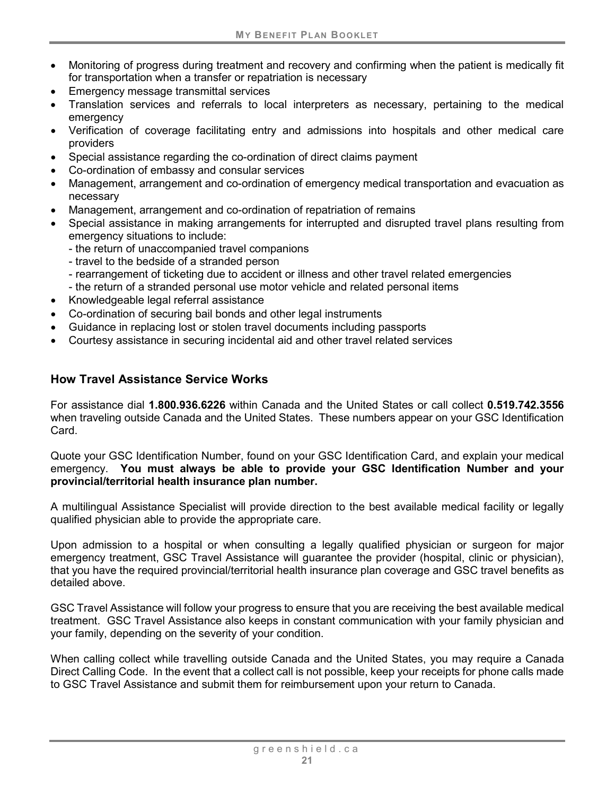- Monitoring of progress during treatment and recovery and confirming when the patient is medically fit for transportation when a transfer or repatriation is necessary
- Emergency message transmittal services
- Translation services and referrals to local interpreters as necessary, pertaining to the medical emergency
- Verification of coverage facilitating entry and admissions into hospitals and other medical care providers
- Special assistance regarding the co-ordination of direct claims payment
- Co-ordination of embassy and consular services
- Management, arrangement and co-ordination of emergency medical transportation and evacuation as necessary
- Management, arrangement and co-ordination of repatriation of remains
- Special assistance in making arrangements for interrupted and disrupted travel plans resulting from emergency situations to include:
	- the return of unaccompanied travel companions
	- travel to the bedside of a stranded person
	- rearrangement of ticketing due to accident or illness and other travel related emergencies
	- the return of a stranded personal use motor vehicle and related personal items
- Knowledgeable legal referral assistance
- Co-ordination of securing bail bonds and other legal instruments
- Guidance in replacing lost or stolen travel documents including passports
- Courtesy assistance in securing incidental aid and other travel related services

#### **How Travel Assistance Service Works**

For assistance dial **1.800.936.6226** within Canada and the United States or call collect **0.519.742.3556**  when traveling outside Canada and the United States. These numbers appear on your GSC Identification Card.

Quote your GSC Identification Number, found on your GSC Identification Card, and explain your medical emergency. **You must always be able to provide your GSC Identification Number and your provincial/territorial health insurance plan number.**

A multilingual Assistance Specialist will provide direction to the best available medical facility or legally qualified physician able to provide the appropriate care.

Upon admission to a hospital or when consulting a legally qualified physician or surgeon for major emergency treatment, GSC Travel Assistance will guarantee the provider (hospital, clinic or physician), that you have the required provincial/territorial health insurance plan coverage and GSC travel benefits as detailed above.

GSC Travel Assistance will follow your progress to ensure that you are receiving the best available medical treatment. GSC Travel Assistance also keeps in constant communication with your family physician and your family, depending on the severity of your condition.

When calling collect while travelling outside Canada and the United States, you may require a Canada Direct Calling Code. In the event that a collect call is not possible, keep your receipts for phone calls made to GSC Travel Assistance and submit them for reimbursement upon your return to Canada.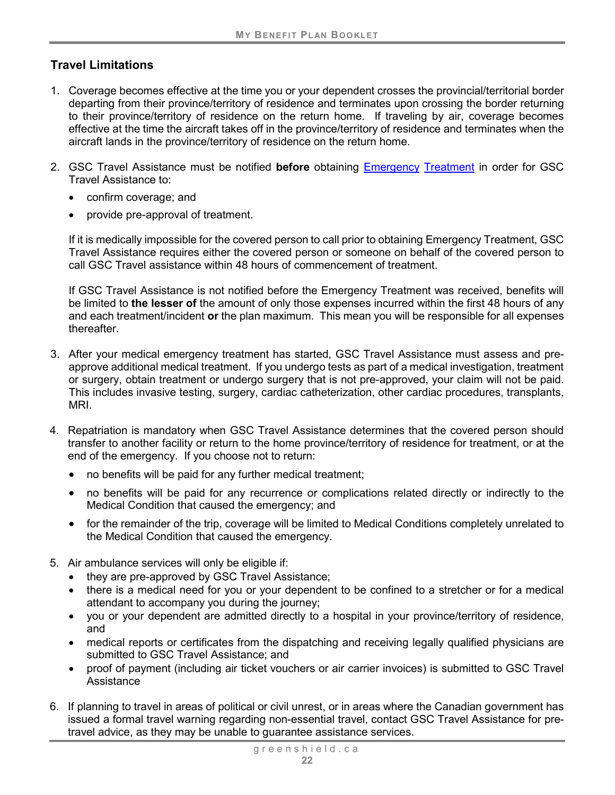# **Travel Limitations**

- 1. Coverage becomes effective at the time you or your dependent crosses the provincial/territorial border departing from their province/territory of residence and terminates upon crossing the border returning to their province/territory of residence on the return home. If traveling by air, coverage becomes effective at the time the aircraft takes off in the province/territory of residence and terminates when the aircraft lands in the province/territory of residence on the return home.
- 2. GSC Travel Assistance must be notified **before** obtaining [Emergency](#page-22-1) [Treatment](#page-23-0) in order for GSC Travel Assistance to:
	- confirm coverage; and
	- provide pre-approval of treatment.

If it is medically impossible for the covered person to call prior to obtaining Emergency Treatment, GSC Travel Assistance requires either the covered person or someone on behalf of the covered person to call GSC Travel assistance within 48 hours of commencement of treatment.

If GSC Travel Assistance is not notified before the Emergency Treatment was received, benefits will be limited to **the lesser of** the amount of only those expenses incurred within the first 48 hours of any and each treatment/incident **or** the plan maximum. This mean you will be responsible for all expenses thereafter.

- 3. After your medical emergency treatment has started, GSC Travel Assistance must assess and preapprove additional medical treatment. If you undergo tests as part of a medical investigation, treatment or surgery, obtain treatment or undergo surgery that is not pre-approved, your claim will not be paid. This includes invasive testing, surgery, cardiac catheterization, other cardiac procedures, transplants, MRI.
- 4. Repatriation is mandatory when GSC Travel Assistance determines that the covered person should transfer to another facility or return to the home province/territory of residence for treatment, or at the end of the emergency. If you choose not to return:
	- no benefits will be paid for any further medical treatment;
	- no benefits will be paid for any recurrence or complications related directly or indirectly to the Medical Condition that caused the emergency; and
	- for the remainder of the trip, coverage will be limited to Medical Conditions completely unrelated to the Medical Condition that caused the emergency.
- 5. Air ambulance services will only be eligible if:
	- they are pre-approved by GSC Travel Assistance;
	- there is a medical need for you or your dependent to be confined to a stretcher or for a medical attendant to accompany you during the journey;
	- you or your dependent are admitted directly to a hospital in your province/territory of residence, and
	- medical reports or certificates from the dispatching and receiving legally qualified physicians are submitted to GSC Travel Assistance; and
	- proof of payment (including air ticket vouchers or air carrier invoices) is submitted to GSC Travel Assistance
- 6. If planning to travel in areas of political or civil unrest, or in areas where the Canadian government has issued a formal travel warning regarding non-essential travel, contact GSC Travel Assistance for pretravel advice, as they may be unable to guarantee assistance services.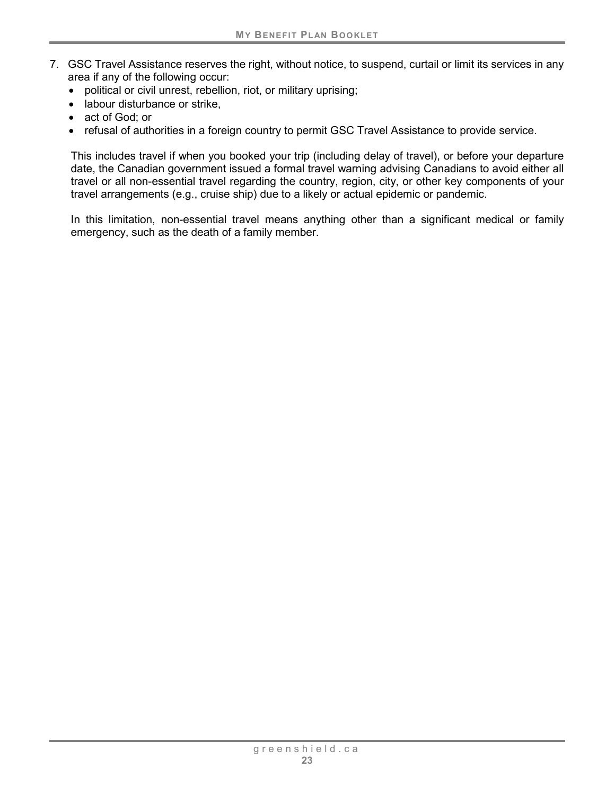- 7. GSC Travel Assistance reserves the right, without notice, to suspend, curtail or limit its services in any area if any of the following occur:
	- political or civil unrest, rebellion, riot, or military uprising;
	- labour disturbance or strike,
	- act of God; or
	- refusal of authorities in a foreign country to permit GSC Travel Assistance to provide service.

This includes travel if when you booked your trip (including delay of travel), or before your departure date, the Canadian government issued a formal travel warning advising Canadians to avoid either all travel or all non-essential travel regarding the country, region, city, or other key components of your travel arrangements (e.g., cruise ship) due to a likely or actual epidemic or pandemic.

In this limitation, non-essential travel means anything other than a significant medical or family emergency, such as the death of a family member.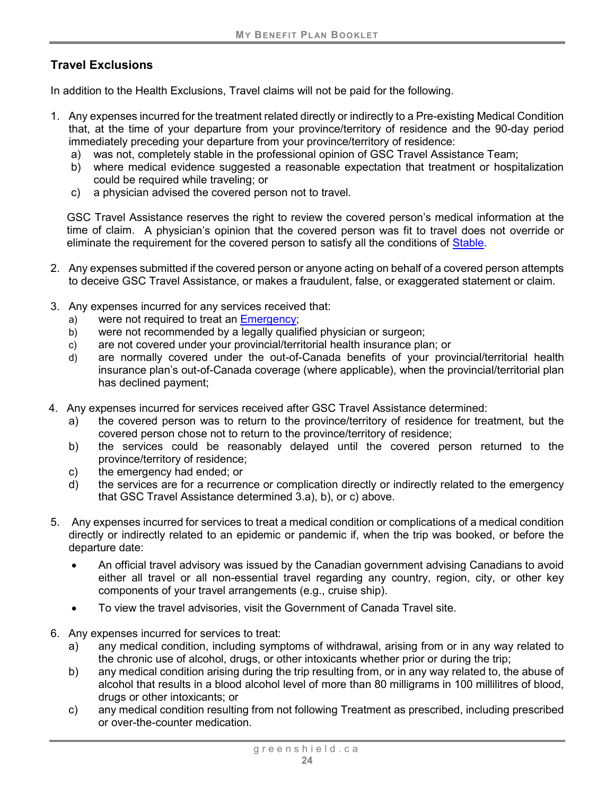# **Travel Exclusions**

In addition to the Health Exclusions, Travel claims will not be paid for the following.

- 1. Any expenses incurred for the treatment related directly or indirectly to a Pre-existing Medical Condition that, at the time of your departure from your province/territory of residence and the 90-day period immediately preceding your departure from your province/territory of residence:
	- a) was not, completely stable in the professional opinion of GSC Travel Assistance Team;
	- b) where medical evidence suggested a reasonable expectation that treatment or hospitalization could be required while traveling; or
	- c) a physician advised the covered person not to travel.

GSC Travel Assistance reserves the right to review the covered person's medical information at the time of claim. A physician's opinion that the covered person was fit to travel does not override or eliminate the requirement for the covered person to satisfy all the conditions of [Stable.](#page-22-2)

- 2. Any expenses submitted if the covered person or anyone acting on behalf of a covered person attempts to deceive GSC Travel Assistance, or makes a fraudulent, false, or exaggerated statement or claim.
- 3. Any expenses incurred for any services received that:
	- a) were not required to treat an [Emergency;](#page-22-1)
	- b) were not recommended by a legally qualified physician or surgeon;
	- c) are not covered under your provincial/territorial health insurance plan; or
	- d) are normally covered under the out-of-Canada benefits of your provincial/territorial health insurance plan's out-of-Canada coverage (where applicable), when the provincial/territorial plan has declined payment;
- 4. Any expenses incurred for services received after GSC Travel Assistance determined:
	- a) the covered person was to return to the province/territory of residence for treatment, but the covered person chose not to return to the province/territory of residence;
	- b) the services could be reasonably delayed until the covered person returned to the province/territory of residence;
	- c) the emergency had ended; or
	- d) the services are for a recurrence or complication directly or indirectly related to the emergency that GSC Travel Assistance determined 3.a), b), or c) above.
- 5. Any expenses incurred for services to treat a medical condition or complications of a medical condition directly or indirectly related to an epidemic or pandemic if, when the trip was booked, or before the departure date:
	- An official travel advisory was issued by the Canadian government advising Canadians to avoid either all travel or all non-essential travel regarding any country, region, city, or other key components of your travel arrangements (e.g., cruise ship).
	- To view the travel advisories, visit the Government of Canada Travel site.
- 6. Any expenses incurred for services to treat:
	- a) any medical condition, including symptoms of withdrawal, arising from or in any way related to the chronic use of alcohol, drugs, or other intoxicants whether prior or during the trip;
	- b) any medical condition arising during the trip resulting from, or in any way related to, the abuse of alcohol that results in a blood alcohol level of more than 80 milligrams in 100 millilitres of blood, drugs or other intoxicants; or
	- c) any medical condition resulting from not following Treatment as prescribed, including prescribed or over-the-counter medication.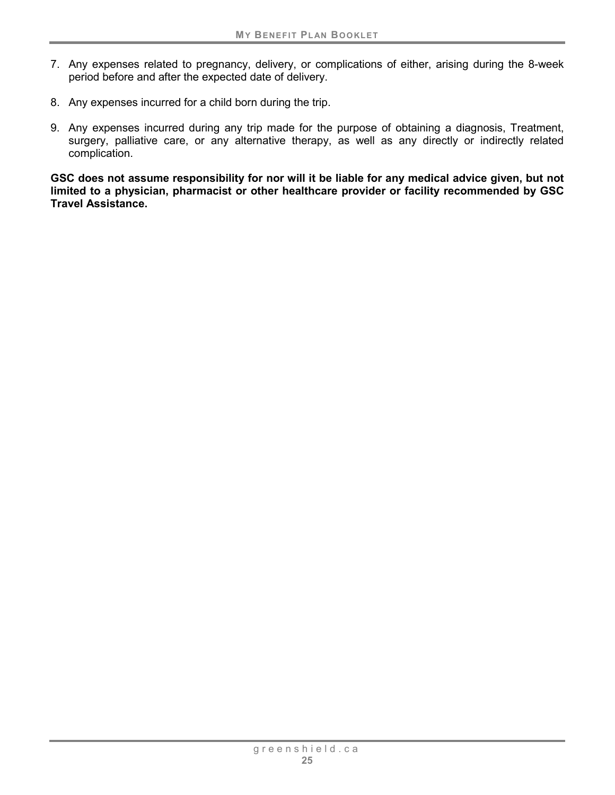- 7. Any expenses related to pregnancy, delivery, or complications of either, arising during the 8-week period before and after the expected date of delivery.
- 8. Any expenses incurred for a child born during the trip.
- 9. Any expenses incurred during any trip made for the purpose of obtaining a diagnosis, Treatment, surgery, palliative care, or any alternative therapy, as well as any directly or indirectly related complication.

**GSC does not assume responsibility for nor will it be liable for any medical advice given, but not limited to a physician, pharmacist or other healthcare provider or facility recommended by GSC Travel Assistance.**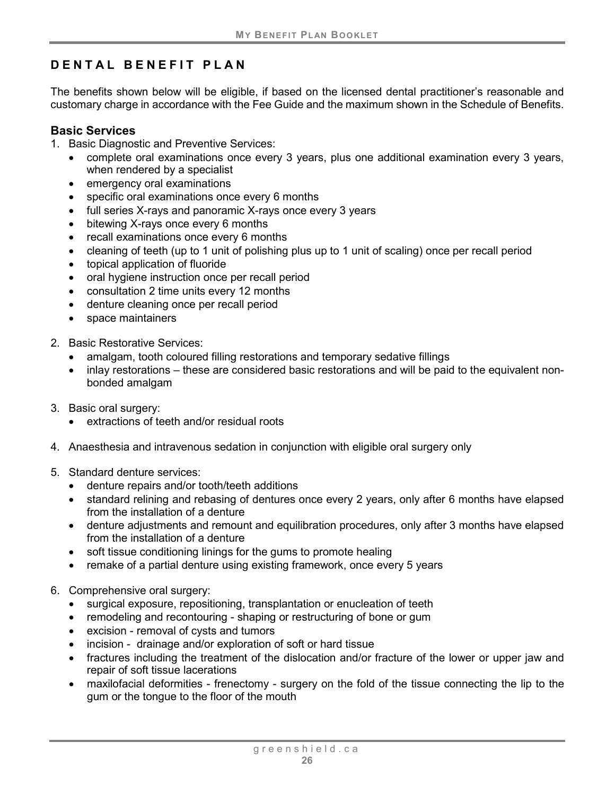# <span id="page-31-0"></span>**DENTAL BENEFIT PLAN**

The benefits shown below will be eligible, if based on the licensed dental practitioner's reasonable and customary charge in accordance with the Fee Guide and the maximum shown in the Schedule of Benefits.

#### <span id="page-31-1"></span>**Basic Services**

- 1. Basic Diagnostic and Preventive Services:
	- complete oral examinations once every 3 years, plus one additional examination every 3 years, when rendered by a specialist
	- emergency oral examinations
	- specific oral examinations once every 6 months
	- full series X-rays and panoramic X-rays once every 3 years
	- bitewing X-rays once every 6 months
	- recall examinations once every 6 months
	- cleaning of teeth (up to 1 unit of polishing plus up to 1 unit of scaling) once per recall period
	- topical application of fluoride
	- oral hygiene instruction once per recall period
	- consultation 2 time units every 12 months
	- denture cleaning once per recall period
	- space maintainers
- 2. Basic Restorative Services:
	- amalgam, tooth coloured filling restorations and temporary sedative fillings
	- inlay restorations these are considered basic restorations and will be paid to the equivalent nonbonded amalgam
- 3. Basic oral surgery:
	- extractions of teeth and/or residual roots
- 4. Anaesthesia and intravenous sedation in conjunction with eligible oral surgery only
- 5. Standard denture services:
	- denture repairs and/or tooth/teeth additions
	- standard relining and rebasing of dentures once every 2 years, only after 6 months have elapsed from the installation of a denture
	- denture adjustments and remount and equilibration procedures, only after 3 months have elapsed from the installation of a denture
	- soft tissue conditioning linings for the gums to promote healing
	- remake of a partial denture using existing framework, once every 5 years
- 6. Comprehensive oral surgery:
	- surgical exposure, repositioning, transplantation or enucleation of teeth
	- remodeling and recontouring shaping or restructuring of bone or gum
	- excision removal of cysts and tumors
	- incision drainage and/or exploration of soft or hard tissue
	- fractures including the treatment of the dislocation and/or fracture of the lower or upper jaw and repair of soft tissue lacerations
	- maxilofacial deformities frenectomy surgery on the fold of the tissue connecting the lip to the gum or the tongue to the floor of the mouth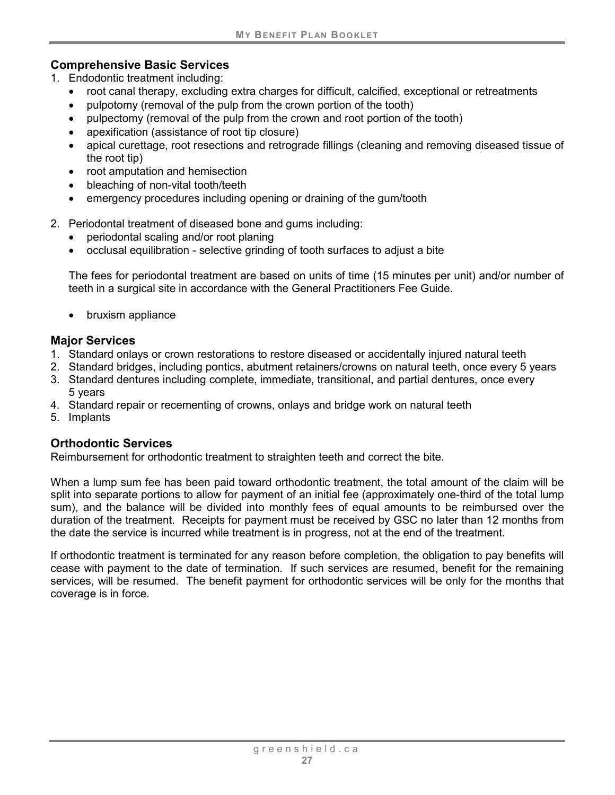#### <span id="page-32-0"></span>**Comprehensive Basic Services**

- 1. Endodontic treatment including:
	- root canal therapy, excluding extra charges for difficult, calcified, exceptional or retreatments
	- pulpotomy (removal of the pulp from the crown portion of the tooth)
	- pulpectomy (removal of the pulp from the crown and root portion of the tooth)
	- apexification (assistance of root tip closure)
	- apical curettage, root resections and retrograde fillings (cleaning and removing diseased tissue of the root tip)
	- root amputation and hemisection
	- bleaching of non-vital tooth/teeth
	- emergency procedures including opening or draining of the gum/tooth
- 2. Periodontal treatment of diseased bone and gums including:
	- periodontal scaling and/or root planing
	- occlusal equilibration selective grinding of tooth surfaces to adjust a bite

The fees for periodontal treatment are based on units of time (15 minutes per unit) and/or number of teeth in a surgical site in accordance with the General Practitioners Fee Guide.

• bruxism appliance

### <span id="page-32-1"></span>**Major Services**

- 1. Standard onlays or crown restorations to restore diseased or accidentally injured natural teeth
- 2. Standard bridges, including pontics, abutment retainers/crowns on natural teeth, once every 5 years
- 3. Standard dentures including complete, immediate, transitional, and partial dentures, once every 5 years
- 4. Standard repair or recementing of crowns, onlays and bridge work on natural teeth
- 5. Implants

### <span id="page-32-2"></span>**Orthodontic Services**

Reimbursement for orthodontic treatment to straighten teeth and correct the bite.

When a lump sum fee has been paid toward orthodontic treatment, the total amount of the claim will be split into separate portions to allow for payment of an initial fee (approximately one-third of the total lump sum), and the balance will be divided into monthly fees of equal amounts to be reimbursed over the duration of the treatment. Receipts for payment must be received by GSC no later than 12 months from the date the service is incurred while treatment is in progress, not at the end of the treatment.

If orthodontic treatment is terminated for any reason before completion, the obligation to pay benefits will cease with payment to the date of termination. If such services are resumed, benefit for the remaining services, will be resumed. The benefit payment for orthodontic services will be only for the months that coverage is in force.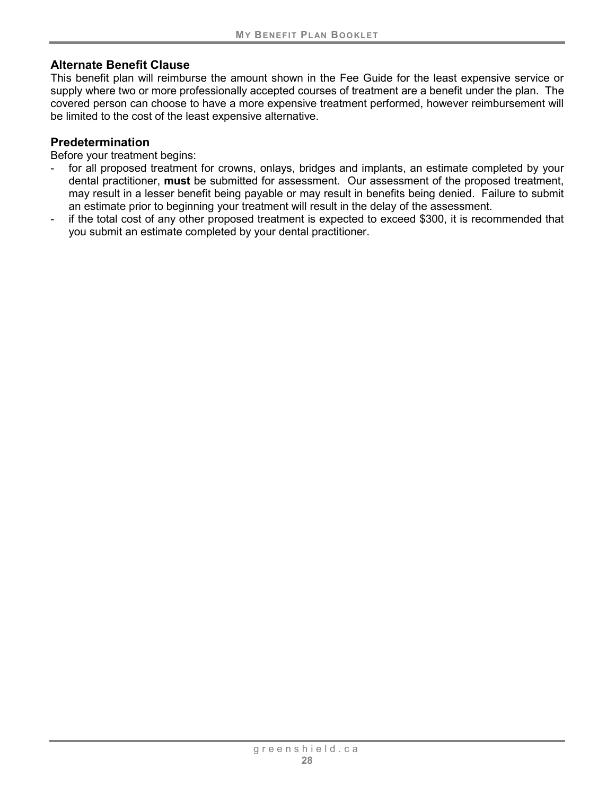#### **Alternate Benefit Clause**

This benefit plan will reimburse the amount shown in the Fee Guide for the least expensive service or supply where two or more professionally accepted courses of treatment are a benefit under the plan. The covered person can choose to have a more expensive treatment performed, however reimbursement will be limited to the cost of the least expensive alternative.

#### **Predetermination**

Before your treatment begins:

- for all proposed treatment for crowns, onlays, bridges and implants, an estimate completed by your dental practitioner, **must** be submitted for assessment. Our assessment of the proposed treatment, may result in a lesser benefit being payable or may result in benefits being denied. Failure to submit an estimate prior to beginning your treatment will result in the delay of the assessment.
- if the total cost of any other proposed treatment is expected to exceed \$300, it is recommended that you submit an estimate completed by your dental practitioner.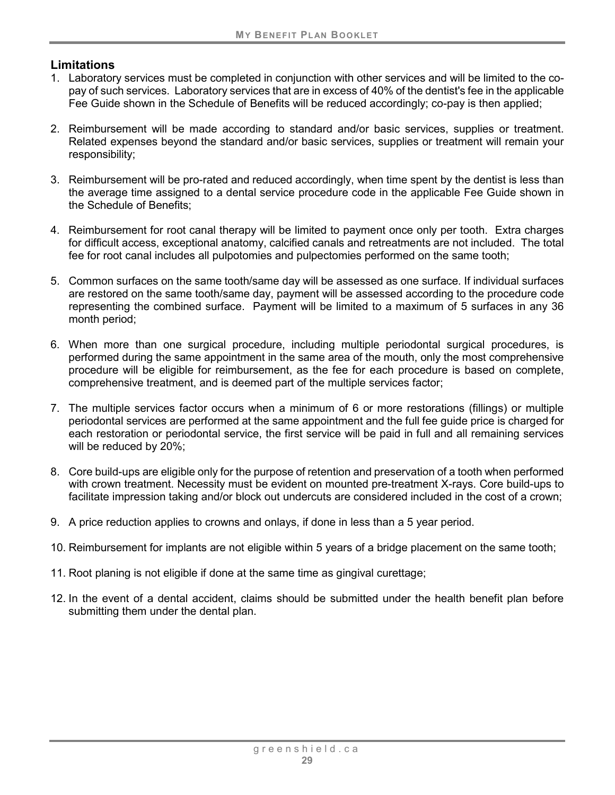#### **Limitations**

- 1. Laboratory services must be completed in conjunction with other services and will be limited to the copay of such services. Laboratory services that are in excess of 40% of the dentist's fee in the applicable Fee Guide shown in the Schedule of Benefits will be reduced accordingly; co-pay is then applied;
- 2. Reimbursement will be made according to standard and/or basic services, supplies or treatment. Related expenses beyond the standard and/or basic services, supplies or treatment will remain your responsibility;
- 3. Reimbursement will be pro-rated and reduced accordingly, when time spent by the dentist is less than the average time assigned to a dental service procedure code in the applicable Fee Guide shown in the Schedule of Benefits;
- 4. Reimbursement for root canal therapy will be limited to payment once only per tooth. Extra charges for difficult access, exceptional anatomy, calcified canals and retreatments are not included. The total fee for root canal includes all pulpotomies and pulpectomies performed on the same tooth;
- 5. Common surfaces on the same tooth/same day will be assessed as one surface. If individual surfaces are restored on the same tooth/same day, payment will be assessed according to the procedure code representing the combined surface. Payment will be limited to a maximum of 5 surfaces in any 36 month period;
- 6. When more than one surgical procedure, including multiple periodontal surgical procedures, is performed during the same appointment in the same area of the mouth, only the most comprehensive procedure will be eligible for reimbursement, as the fee for each procedure is based on complete, comprehensive treatment, and is deemed part of the multiple services factor;
- 7. The multiple services factor occurs when a minimum of 6 or more restorations (fillings) or multiple periodontal services are performed at the same appointment and the full fee guide price is charged for each restoration or periodontal service, the first service will be paid in full and all remaining services will be reduced by 20%;
- 8. Core build-ups are eligible only for the purpose of retention and preservation of a tooth when performed with crown treatment. Necessity must be evident on mounted pre-treatment X-rays. Core build-ups to facilitate impression taking and/or block out undercuts are considered included in the cost of a crown;
- 9. A price reduction applies to crowns and onlays, if done in less than a 5 year period.
- 10. Reimbursement for implants are not eligible within 5 years of a bridge placement on the same tooth;
- 11. Root planing is not eligible if done at the same time as gingival curettage;
- 12. In the event of a dental accident, claims should be submitted under the health benefit plan before submitting them under the dental plan.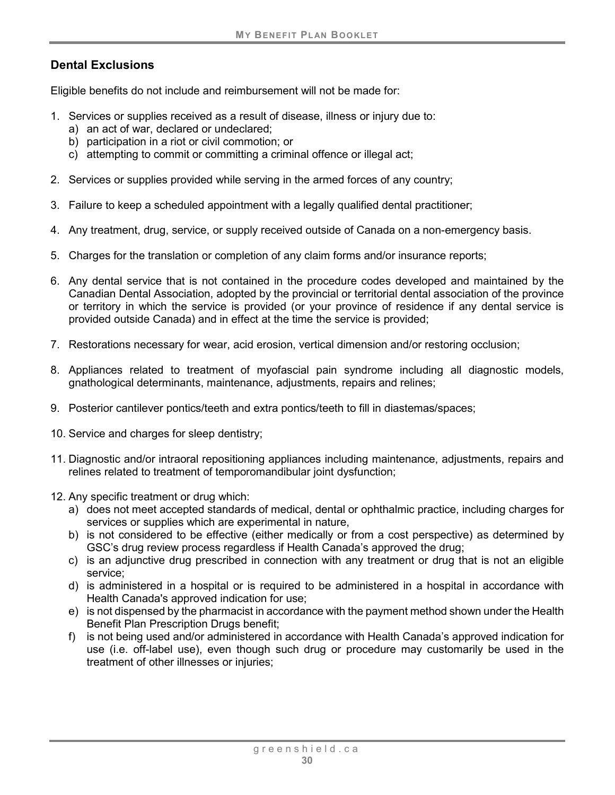## **Dental Exclusions**

Eligible benefits do not include and reimbursement will not be made for:

- 1. Services or supplies received as a result of disease, illness or injury due to:
	- a) an act of war, declared or undeclared;
	- b) participation in a riot or civil commotion; or
	- c) attempting to commit or committing a criminal offence or illegal act;
- 2. Services or supplies provided while serving in the armed forces of any country;
- 3. Failure to keep a scheduled appointment with a legally qualified dental practitioner;
- 4. Any treatment, drug, service, or supply received outside of Canada on a non-emergency basis.
- 5. Charges for the translation or completion of any claim forms and/or insurance reports;
- 6. Any dental service that is not contained in the procedure codes developed and maintained by the Canadian Dental Association, adopted by the provincial or territorial dental association of the province or territory in which the service is provided (or your province of residence if any dental service is provided outside Canada) and in effect at the time the service is provided;
- 7. Restorations necessary for wear, acid erosion, vertical dimension and/or restoring occlusion;
- 8. Appliances related to treatment of myofascial pain syndrome including all diagnostic models, gnathological determinants, maintenance, adjustments, repairs and relines;
- 9. Posterior cantilever pontics/teeth and extra pontics/teeth to fill in diastemas/spaces;
- 10. Service and charges for sleep dentistry;
- 11. Diagnostic and/or intraoral repositioning appliances including maintenance, adjustments, repairs and relines related to treatment of temporomandibular joint dysfunction;
- 12. Any specific treatment or drug which:
	- a) does not meet accepted standards of medical, dental or ophthalmic practice, including charges for services or supplies which are experimental in nature,
	- b) is not considered to be effective (either medically or from a cost perspective) as determined by GSC's drug review process regardless if Health Canada's approved the drug;
	- c) is an adjunctive drug prescribed in connection with any treatment or drug that is not an eligible service;
	- d) is administered in a hospital or is required to be administered in a hospital in accordance with Health Canada's approved indication for use;
	- e) is not dispensed by the pharmacist in accordance with the payment method shown under the Health Benefit Plan Prescription Drugs benefit;
	- f) is not being used and/or administered in accordance with Health Canada's approved indication for use (i.e. off-label use), even though such drug or procedure may customarily be used in the treatment of other illnesses or injuries;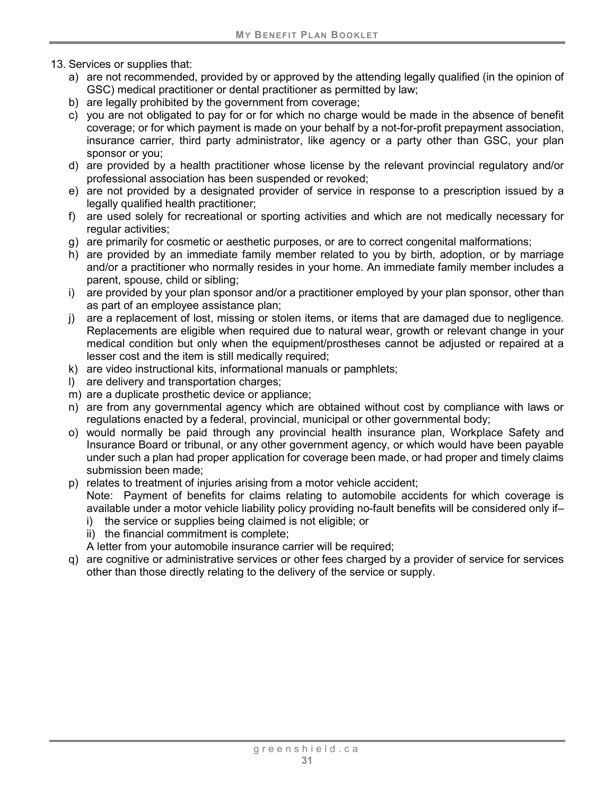- 13. Services or supplies that:
	- a) are not recommended, provided by or approved by the attending legally qualified (in the opinion of GSC) medical practitioner or dental practitioner as permitted by law;
	- b) are legally prohibited by the government from coverage;
	- c) you are not obligated to pay for or for which no charge would be made in the absence of benefit coverage; or for which payment is made on your behalf by a not-for-profit prepayment association, insurance carrier, third party administrator, like agency or a party other than GSC, your plan sponsor or you;
	- d) are provided by a health practitioner whose license by the relevant provincial regulatory and/or professional association has been suspended or revoked;
	- e) are not provided by a designated provider of service in response to a prescription issued by a legally qualified health practitioner;
	- f) are used solely for recreational or sporting activities and which are not medically necessary for regular activities;
	- g) are primarily for cosmetic or aesthetic purposes, or are to correct congenital malformations;
	- h) are provided by an immediate family member related to you by birth, adoption, or by marriage and/or a practitioner who normally resides in your home. An immediate family member includes a parent, spouse, child or sibling;
	- i) are provided by your plan sponsor and/or a practitioner employed by your plan sponsor, other than as part of an employee assistance plan;
	- j) are a replacement of lost, missing or stolen items, or items that are damaged due to negligence. Replacements are eligible when required due to natural wear, growth or relevant change in your medical condition but only when the equipment/prostheses cannot be adjusted or repaired at a lesser cost and the item is still medically required;
	- k) are video instructional kits, informational manuals or pamphlets;
	- l) are delivery and transportation charges;
	- m) are a duplicate prosthetic device or appliance;
	- n) are from any governmental agency which are obtained without cost by compliance with laws or regulations enacted by a federal, provincial, municipal or other governmental body;
	- o) would normally be paid through any provincial health insurance plan, Workplace Safety and Insurance Board or tribunal, or any other government agency, or which would have been payable under such a plan had proper application for coverage been made, or had proper and timely claims submission been made;
	- p) relates to treatment of injuries arising from a motor vehicle accident; Note: Payment of benefits for claims relating to automobile accidents for which coverage is available under a motor vehicle liability policy providing no-fault benefits will be considered only if–
		- i) the service or supplies being claimed is not eligible; or
		- ii) the financial commitment is complete;
		- A letter from your automobile insurance carrier will be required;
	- q) are cognitive or administrative services or other fees charged by a provider of service for services other than those directly relating to the delivery of the service or supply.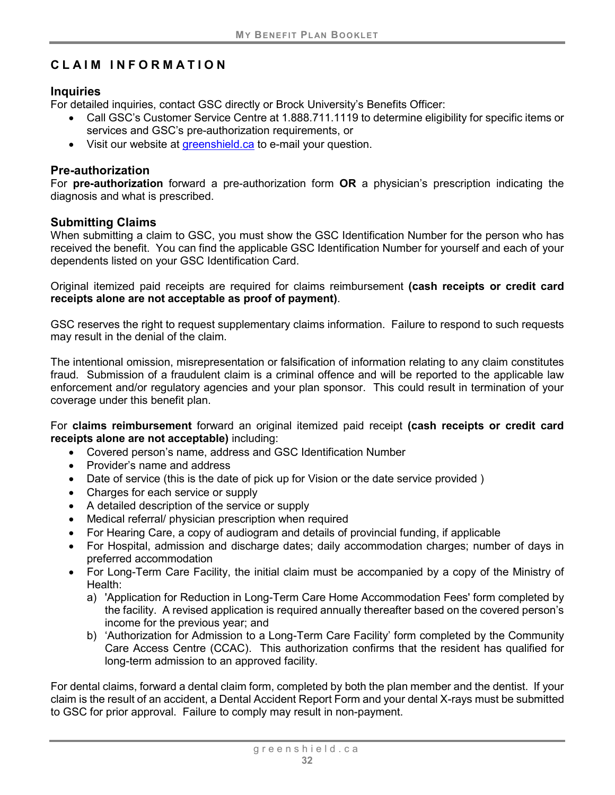# <span id="page-37-0"></span>**CLAIM INFORMATION**

#### **Inquiries**

For detailed inquiries, contact GSC directly or Brock University's Benefits Officer:

- Call GSC's Customer Service Centre at 1.888.711.1119 to determine eligibility for specific items or services and GSC's pre-authorization requirements, or
- Visit our website at [greenshield.ca](http://www.greenshield.ca/) to e-mail your question.

#### **Pre-authorization**

For **pre-authorization** forward a pre-authorization form **OR** a physician's prescription indicating the diagnosis and what is prescribed.

#### **Submitting Claims**

When submitting a claim to GSC, you must show the GSC Identification Number for the person who has received the benefit. You can find the applicable GSC Identification Number for yourself and each of your dependents listed on your GSC Identification Card.

Original itemized paid receipts are required for claims reimbursement **(cash receipts or credit card receipts alone are not acceptable as proof of payment)**.

GSC reserves the right to request supplementary claims information. Failure to respond to such requests may result in the denial of the claim.

The intentional omission, misrepresentation or falsification of information relating to any claim constitutes fraud. Submission of a fraudulent claim is a criminal offence and will be reported to the applicable law enforcement and/or regulatory agencies and your plan sponsor. This could result in termination of your coverage under this benefit plan.

For **claims reimbursement** forward an original itemized paid receipt **(cash receipts or credit card receipts alone are not acceptable)** including:

- Covered person's name, address and GSC Identification Number
- Provider's name and address
- Date of service (this is the date of pick up for Vision or the date service provided)
- Charges for each service or supply
- A detailed description of the service or supply
- Medical referral/ physician prescription when required
- For Hearing Care, a copy of audiogram and details of provincial funding, if applicable
- For Hospital, admission and discharge dates; daily accommodation charges; number of days in preferred accommodation
- For Long-Term Care Facility, the initial claim must be accompanied by a copy of the Ministry of Health:
	- a) 'Application for Reduction in Long-Term Care Home Accommodation Fees' form completed by the facility. A revised application is required annually thereafter based on the covered person's income for the previous year; and
	- b) 'Authorization for Admission to a Long-Term Care Facility' form completed by the Community Care Access Centre (CCAC). This authorization confirms that the resident has qualified for long-term admission to an approved facility.

For dental claims, forward a dental claim form, completed by both the plan member and the dentist. If your claim is the result of an accident, a Dental Accident Report Form and your dental X-rays must be submitted to GSC for prior approval. Failure to comply may result in non-payment.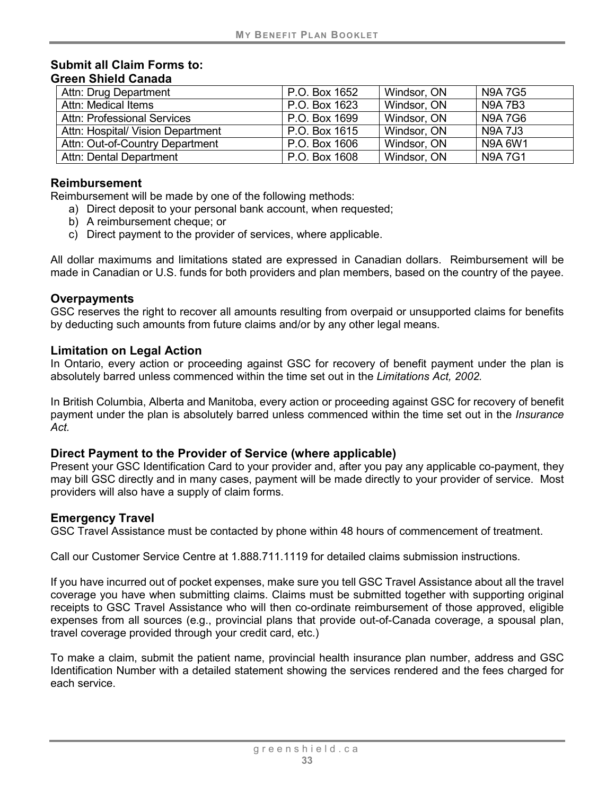#### **Submit all Claim Forms to: Green Shield Canada**

| Attn: Drug Department              | P.O. Box 1652 | Windsor, ON | N9A 7G5        |
|------------------------------------|---------------|-------------|----------------|
| Attn: Medical Items                | P.O. Box 1623 | Windsor, ON | <b>N9A7B3</b>  |
| <b>Attn: Professional Services</b> | P.O. Box 1699 | Windsor, ON | <b>N9A7G6</b>  |
| Attn: Hospital/ Vision Department  | P.O. Box 1615 | Windsor, ON | <b>N9A 7J3</b> |
| Attn: Out-of-Country Department    | P.O. Box 1606 | Windsor, ON | N9A 6W1        |
| <b>Attn: Dental Department</b>     | P.O. Box 1608 | Windsor, ON | <b>N9A7G1</b>  |

#### **Reimbursement**

Reimbursement will be made by one of the following methods:

- a) Direct deposit to your personal bank account, when requested;
- b) A reimbursement cheque; or
- c) Direct payment to the provider of services, where applicable.

All dollar maximums and limitations stated are expressed in Canadian dollars. Reimbursement will be made in Canadian or U.S. funds for both providers and plan members, based on the country of the payee.

#### **Overpayments**

GSC reserves the right to recover all amounts resulting from overpaid or unsupported claims for benefits by deducting such amounts from future claims and/or by any other legal means.

#### **Limitation on Legal Action**

In Ontario, every action or proceeding against GSC for recovery of benefit payment under the plan is absolutely barred unless commenced within the time set out in the *Limitations Act, 2002.*

In British Columbia, Alberta and Manitoba, every action or proceeding against GSC for recovery of benefit payment under the plan is absolutely barred unless commenced within the time set out in the *Insurance Act.*

#### **Direct Payment to the Provider of Service (where applicable)**

Present your GSC Identification Card to your provider and, after you pay any applicable co-payment, they may bill GSC directly and in many cases, payment will be made directly to your provider of service. Most providers will also have a supply of claim forms.

#### **Emergency Travel**

GSC Travel Assistance must be contacted by phone within 48 hours of commencement of treatment.

Call our Customer Service Centre at 1.888.711.1119 for detailed claims submission instructions.

If you have incurred out of pocket expenses, make sure you tell GSC Travel Assistance about all the travel coverage you have when submitting claims. Claims must be submitted together with supporting original receipts to GSC Travel Assistance who will then co-ordinate reimbursement of those approved, eligible expenses from all sources (e.g., provincial plans that provide out-of-Canada coverage, a spousal plan, travel coverage provided through your credit card, etc.)

To make a claim, submit the patient name, provincial health insurance plan number, address and GSC Identification Number with a detailed statement showing the services rendered and the fees charged for each service.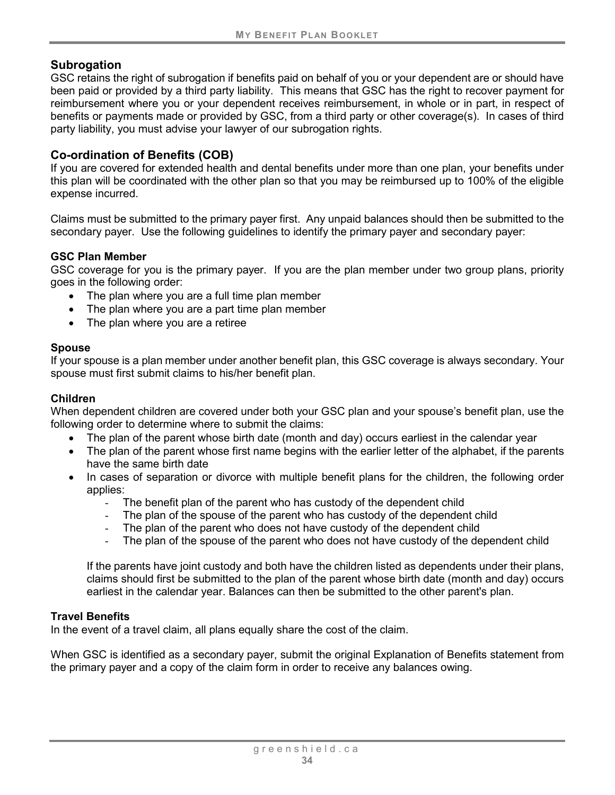#### **Subrogation**

GSC retains the right of subrogation if benefits paid on behalf of you or your dependent are or should have been paid or provided by a third party liability. This means that GSC has the right to recover payment for reimbursement where you or your dependent receives reimbursement, in whole or in part, in respect of benefits or payments made or provided by GSC, from a third party or other coverage(s). In cases of third party liability, you must advise your lawyer of our subrogation rights.

#### **Co-ordination of Benefits (COB)**

If you are covered for extended health and dental benefits under more than one plan, your benefits under this plan will be coordinated with the other plan so that you may be reimbursed up to 100% of the eligible expense incurred.

Claims must be submitted to the primary payer first. Any unpaid balances should then be submitted to the secondary payer. Use the following guidelines to identify the primary payer and secondary payer:

#### **GSC Plan Member**

GSC coverage for you is the primary payer. If you are the plan member under two group plans, priority goes in the following order:

- The plan where you are a full time plan member
- The plan where you are a part time plan member
- The plan where you are a retiree

#### **Spouse**

If your spouse is a plan member under another benefit plan, this GSC coverage is always secondary. Your spouse must first submit claims to his/her benefit plan.

#### **Children**

When dependent children are covered under both your GSC plan and your spouse's benefit plan, use the following order to determine where to submit the claims:

- The plan of the parent whose birth date (month and day) occurs earliest in the calendar year
- The plan of the parent whose first name begins with the earlier letter of the alphabet, if the parents have the same birth date
- In cases of separation or divorce with multiple benefit plans for the children, the following order applies:
	- The benefit plan of the parent who has custody of the dependent child
	- The plan of the spouse of the parent who has custody of the dependent child
	- The plan of the parent who does not have custody of the dependent child
	- The plan of the spouse of the parent who does not have custody of the dependent child

If the parents have joint custody and both have the children listed as dependents under their plans, claims should first be submitted to the plan of the parent whose birth date (month and day) occurs earliest in the calendar year. Balances can then be submitted to the other parent's plan.

#### **Travel Benefits**

In the event of a travel claim, all plans equally share the cost of the claim.

When GSC is identified as a secondary payer, submit the original Explanation of Benefits statement from the primary payer and a copy of the claim form in order to receive any balances owing.